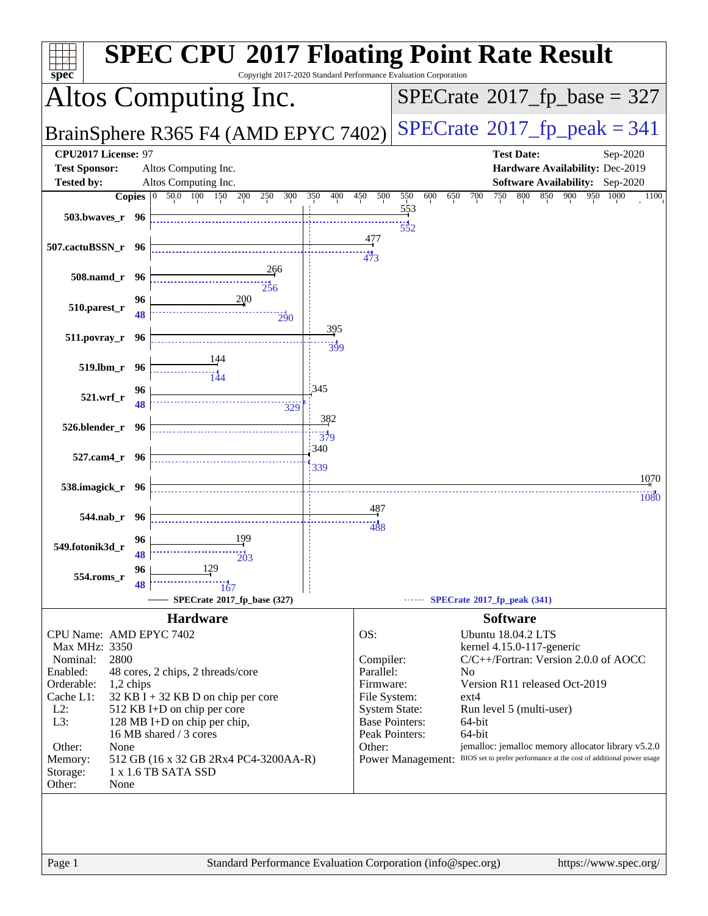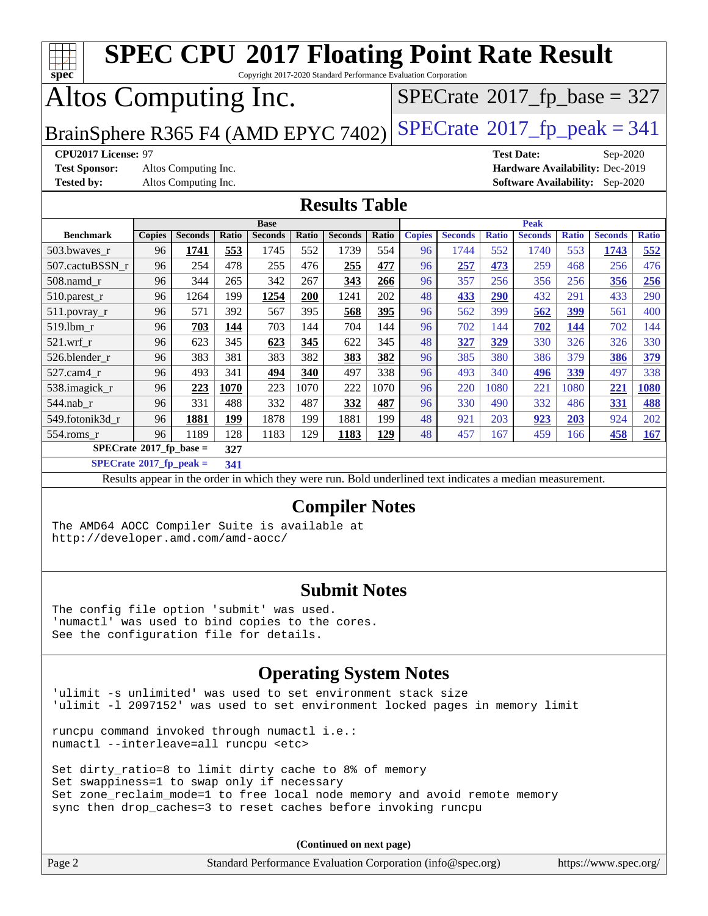| <b>SPEC CPU®2017 Floating Point Rate Result</b><br>TTT T                                     |                                                                     |                      |            |                |            |                                                                                                          |            |               |                |              |                   |              |                                        |              |
|----------------------------------------------------------------------------------------------|---------------------------------------------------------------------|----------------------|------------|----------------|------------|----------------------------------------------------------------------------------------------------------|------------|---------------|----------------|--------------|-------------------|--------------|----------------------------------------|--------------|
| Copyright 2017-2020 Standard Performance Evaluation Corporation<br>$spec^*$                  |                                                                     |                      |            |                |            |                                                                                                          |            |               |                |              |                   |              |                                        |              |
| Altos Computing Inc.<br>$SPECTate$ <sup>®</sup> 2017_fp_base = 327                           |                                                                     |                      |            |                |            |                                                                                                          |            |               |                |              |                   |              |                                        |              |
|                                                                                              | $SPECTate@2017fp peak = 341$<br>BrainSphere R365 F4 (AMD EPYC 7402) |                      |            |                |            |                                                                                                          |            |               |                |              |                   |              |                                        |              |
| CPU2017 License: 97                                                                          |                                                                     |                      |            |                |            |                                                                                                          |            |               |                |              | <b>Test Date:</b> |              | Sep-2020                               |              |
| <b>Test Sponsor:</b>                                                                         |                                                                     | Altos Computing Inc. |            |                |            |                                                                                                          |            |               |                |              |                   |              | Hardware Availability: Dec-2019        |              |
| <b>Tested by:</b>                                                                            |                                                                     | Altos Computing Inc. |            |                |            |                                                                                                          |            |               |                |              |                   |              | <b>Software Availability:</b> Sep-2020 |              |
|                                                                                              |                                                                     |                      |            |                |            | <b>Results Table</b>                                                                                     |            |               |                |              |                   |              |                                        |              |
|                                                                                              |                                                                     |                      |            | <b>Base</b>    |            |                                                                                                          |            |               |                |              | <b>Peak</b>       |              |                                        |              |
| <b>Benchmark</b>                                                                             | <b>Copies</b>                                                       | <b>Seconds</b>       | Ratio      | <b>Seconds</b> | Ratio      | <b>Seconds</b>                                                                                           | Ratio      | <b>Copies</b> | <b>Seconds</b> | <b>Ratio</b> | <b>Seconds</b>    | <b>Ratio</b> | <b>Seconds</b>                         | <b>Ratio</b> |
| 503.bwaves_r                                                                                 | 96                                                                  | 1741                 | 553        | 1745           | 552        | 1739                                                                                                     | 554        | 96            | 1744           | 552          | 1740              | 553          | 1743                                   | 552          |
| 507.cactuBSSN_r                                                                              | 96                                                                  | 254                  | 478        | 255            | 476        | 255                                                                                                      | 477        | 96            | 257            | 473          | 259               | 468          | 256                                    | 476          |
| 508.namd_r                                                                                   | 96                                                                  | 344                  | 265        | 342            | 267        | 343                                                                                                      | 266        | 96            | 357            | 256          | 356               | 256          | 356                                    | 256          |
| 510.parest_r                                                                                 | 96                                                                  | 1264                 | 199        | 1254           | 200        | 1241                                                                                                     | 202        | 48            | 433            | 290          | 432               | 291          | 433                                    | 290          |
| 511.povray_r                                                                                 | 96<br>96                                                            | 571                  | 392        | 567<br>703     | 395<br>144 | 568<br>704                                                                                               | 395<br>144 | 96<br>96      | 562<br>702     | 399<br>144   | 562               | 399          | 561<br>702                             | 400          |
| 519.lbm_r                                                                                    |                                                                     | 703                  | 144        |                |            |                                                                                                          |            |               |                |              | 702               | <b>144</b>   |                                        | 144          |
| $521.wrf_r$<br>526.blender_r                                                                 | 96<br>96                                                            | 623<br>383           | 345<br>381 | 623<br>383     | 345<br>382 | 622<br>383                                                                                               | 345<br>382 | 48<br>96      | 327<br>385     | 329          | 330               | 326<br>379   | 326                                    | 330<br>379   |
| 527.cam4_r                                                                                   | 96                                                                  | 493                  | 341        | 494            | 340        | 497                                                                                                      | 338        | 96            | 493            | 380<br>340   | 386               | 339          | 386<br>497                             | 338          |
|                                                                                              | 96                                                                  | 223                  | 1070       | 223            | 1070       | 222                                                                                                      | 1070       | 96            | 220            | 1080         | 496<br>221        | 1080         | 221                                    | <b>1080</b>  |
| 538.imagick_r<br>544.nab_r                                                                   | 96                                                                  | 331                  | 488        | 332            | 487        | 332                                                                                                      | 487        | 96            | 330            | 490          | 332               | 486          | 331                                    | 488          |
| 549.fotonik3d_r                                                                              | 96                                                                  | 1881                 | 199        | 1878           | 199        | 1881                                                                                                     | 199        | 48            | 921            | 203          | 923               | 203          | 924                                    | 202          |
| 554.roms_r                                                                                   | 96                                                                  | 1189                 | 128        | 1183           | 129        | 1183                                                                                                     | 129        | 48            | 457            | 167          | 459               | 166          | 458                                    | 167          |
| $SPECrate^*2017_fp\_base =$                                                                  |                                                                     |                      | 327        |                |            |                                                                                                          |            |               |                |              |                   |              |                                        |              |
| $SPECrate^{\circ}2017$ _fp_peak =                                                            |                                                                     |                      | 341        |                |            |                                                                                                          |            |               |                |              |                   |              |                                        |              |
|                                                                                              |                                                                     |                      |            |                |            | Results appear in the order in which they were run. Bold underlined text indicates a median measurement. |            |               |                |              |                   |              |                                        |              |
|                                                                                              |                                                                     |                      |            |                |            |                                                                                                          |            |               |                |              |                   |              |                                        |              |
|                                                                                              |                                                                     |                      |            |                |            | <b>Compiler Notes</b>                                                                                    |            |               |                |              |                   |              |                                        |              |
| The AMD64 AOCC Compiler Suite is available at                                                |                                                                     |                      |            |                |            |                                                                                                          |            |               |                |              |                   |              |                                        |              |
| http://developer.amd.com/amd-aocc/                                                           |                                                                     |                      |            |                |            |                                                                                                          |            |               |                |              |                   |              |                                        |              |
|                                                                                              |                                                                     |                      |            |                |            |                                                                                                          |            |               |                |              |                   |              |                                        |              |
|                                                                                              |                                                                     |                      |            |                |            |                                                                                                          |            |               |                |              |                   |              |                                        |              |
| <b>Submit Notes</b>                                                                          |                                                                     |                      |            |                |            |                                                                                                          |            |               |                |              |                   |              |                                        |              |
|                                                                                              |                                                                     |                      |            |                |            |                                                                                                          |            |               |                |              |                   |              |                                        |              |
| The config file option 'submit' was used.<br>'numactl' was used to bind copies to the cores. |                                                                     |                      |            |                |            |                                                                                                          |            |               |                |              |                   |              |                                        |              |
| See the configuration file for details.                                                      |                                                                     |                      |            |                |            |                                                                                                          |            |               |                |              |                   |              |                                        |              |
|                                                                                              |                                                                     |                      |            |                |            |                                                                                                          |            |               |                |              |                   |              |                                        |              |
| <b>Operating System Notes</b>                                                                |                                                                     |                      |            |                |            |                                                                                                          |            |               |                |              |                   |              |                                        |              |
|                                                                                              |                                                                     |                      |            |                |            |                                                                                                          |            |               |                |              |                   |              |                                        |              |

'ulimit -s unlimited' was used to set environment stack size 'ulimit -l 2097152' was used to set environment locked pages in memory limit

runcpu command invoked through numactl i.e.: numactl --interleave=all runcpu <etc>

Set dirty\_ratio=8 to limit dirty cache to 8% of memory Set swappiness=1 to swap only if necessary Set zone\_reclaim\_mode=1 to free local node memory and avoid remote memory sync then drop\_caches=3 to reset caches before invoking runcpu

**(Continued on next page)**

| Page 2 | Standard Performance Evaluation Corporation (info@spec.org) |  | https://www.spec.org/ |
|--------|-------------------------------------------------------------|--|-----------------------|
|--------|-------------------------------------------------------------|--|-----------------------|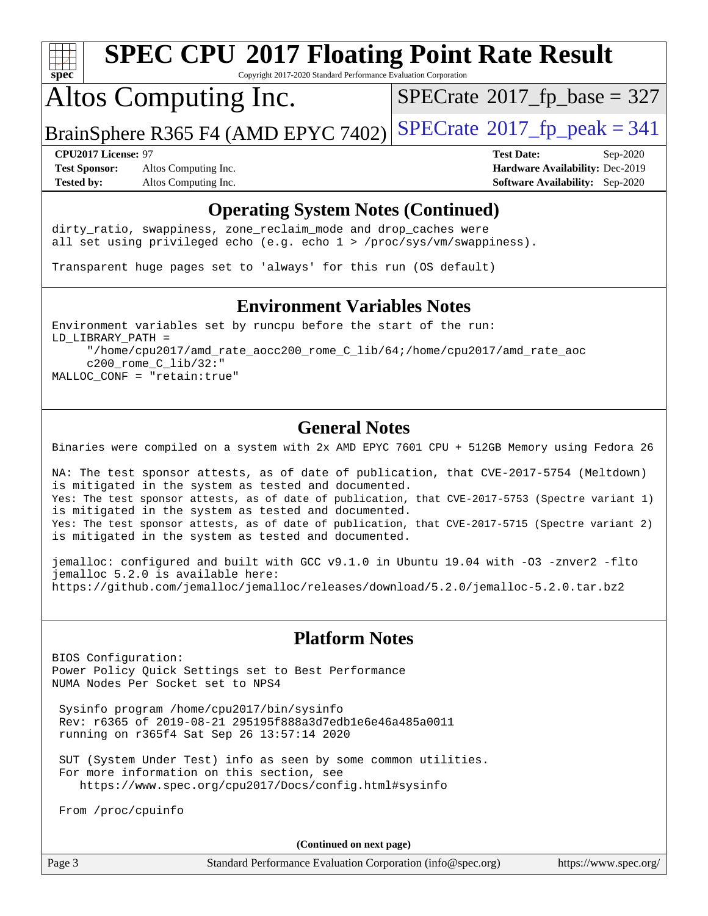

Copyright 2017-2020 Standard Performance Evaluation Corporation

## Altos Computing Inc.

 $SPECTate$ <sup>®</sup>[2017\\_fp\\_base =](http://www.spec.org/auto/cpu2017/Docs/result-fields.html#SPECrate2017fpbase) 327

BrainSphere R365 F4 (AMD EPYC 7402) [SPECrate](http://www.spec.org/auto/cpu2017/Docs/result-fields.html#SPECrate2017fppeak)®[2017\\_fp\\_peak = 3](http://www.spec.org/auto/cpu2017/Docs/result-fields.html#SPECrate2017fppeak)41

**[Test Sponsor:](http://www.spec.org/auto/cpu2017/Docs/result-fields.html#TestSponsor)** Altos Computing Inc. **[Hardware Availability:](http://www.spec.org/auto/cpu2017/Docs/result-fields.html#HardwareAvailability)** Dec-2019 **[Tested by:](http://www.spec.org/auto/cpu2017/Docs/result-fields.html#Testedby)** Altos Computing Inc. **[Software Availability:](http://www.spec.org/auto/cpu2017/Docs/result-fields.html#SoftwareAvailability)** Sep-2020

**[CPU2017 License:](http://www.spec.org/auto/cpu2017/Docs/result-fields.html#CPU2017License)** 97 **[Test Date:](http://www.spec.org/auto/cpu2017/Docs/result-fields.html#TestDate)** Sep-2020

#### **[Operating System Notes \(Continued\)](http://www.spec.org/auto/cpu2017/Docs/result-fields.html#OperatingSystemNotes)**

dirty\_ratio, swappiness, zone\_reclaim\_mode and drop caches were all set using privileged echo (e.g. echo 1 > /proc/sys/vm/swappiness).

Transparent huge pages set to 'always' for this run (OS default)

#### **[Environment Variables Notes](http://www.spec.org/auto/cpu2017/Docs/result-fields.html#EnvironmentVariablesNotes)**

Environment variables set by runcpu before the start of the run: LD\_LIBRARY\_PATH = "/home/cpu2017/amd\_rate\_aocc200\_rome\_C\_lib/64;/home/cpu2017/amd\_rate\_aoc c200\_rome\_C\_lib/32:" MALLOC\_CONF = "retain:true"

#### **[General Notes](http://www.spec.org/auto/cpu2017/Docs/result-fields.html#GeneralNotes)**

Binaries were compiled on a system with 2x AMD EPYC 7601 CPU + 512GB Memory using Fedora 26

NA: The test sponsor attests, as of date of publication, that CVE-2017-5754 (Meltdown) is mitigated in the system as tested and documented. Yes: The test sponsor attests, as of date of publication, that CVE-2017-5753 (Spectre variant 1) is mitigated in the system as tested and documented. Yes: The test sponsor attests, as of date of publication, that CVE-2017-5715 (Spectre variant 2) is mitigated in the system as tested and documented.

jemalloc: configured and built with GCC v9.1.0 in Ubuntu 19.04 with -O3 -znver2 -flto jemalloc 5.2.0 is available here: <https://github.com/jemalloc/jemalloc/releases/download/5.2.0/jemalloc-5.2.0.tar.bz2>

#### **[Platform Notes](http://www.spec.org/auto/cpu2017/Docs/result-fields.html#PlatformNotes)**

BIOS Configuration: Power Policy Quick Settings set to Best Performance NUMA Nodes Per Socket set to NPS4

 Sysinfo program /home/cpu2017/bin/sysinfo Rev: r6365 of 2019-08-21 295195f888a3d7edb1e6e46a485a0011 running on r365f4 Sat Sep 26 13:57:14 2020

 SUT (System Under Test) info as seen by some common utilities. For more information on this section, see <https://www.spec.org/cpu2017/Docs/config.html#sysinfo>

From /proc/cpuinfo

**(Continued on next page)**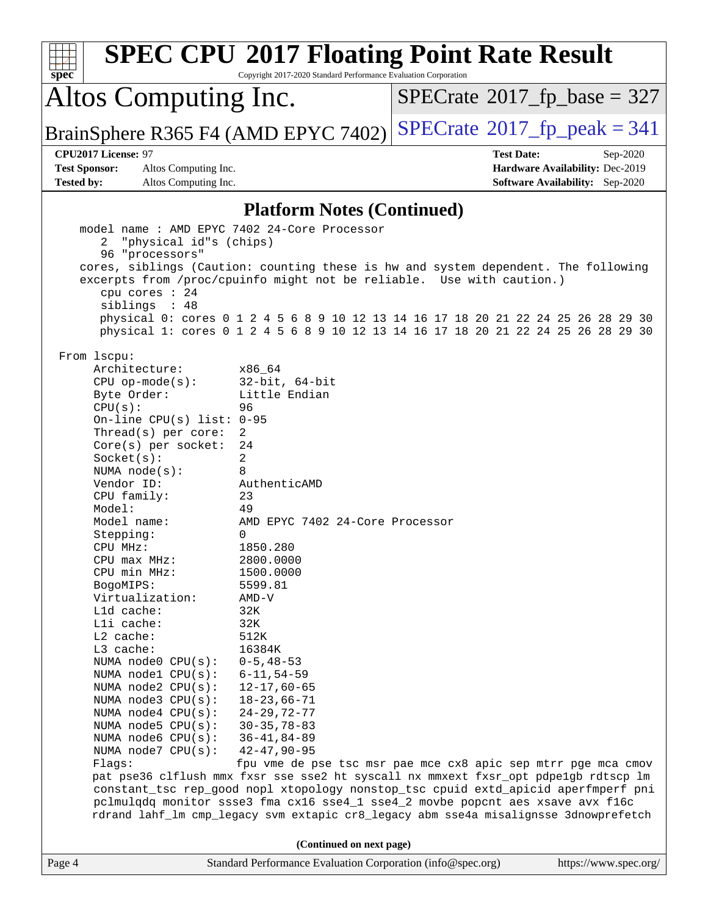|                                                                                               | <b>SPEC CPU®2017 Floating Point Rate Result</b>                                                                                                                        |                                      |                                        |  |  |  |  |
|-----------------------------------------------------------------------------------------------|------------------------------------------------------------------------------------------------------------------------------------------------------------------------|--------------------------------------|----------------------------------------|--|--|--|--|
| spec                                                                                          | Copyright 2017-2020 Standard Performance Evaluation Corporation                                                                                                        |                                      |                                        |  |  |  |  |
| Altos Computing Inc.                                                                          |                                                                                                                                                                        | $SPECrate^{\circ}2017$ [p base = 327 |                                        |  |  |  |  |
| BrainSphere R365 F4 (AMD EPYC 7402)                                                           |                                                                                                                                                                        | $SPECTate@2017_fp\_peak = 341$       |                                        |  |  |  |  |
| CPU2017 License: 97                                                                           |                                                                                                                                                                        | <b>Test Date:</b>                    | Sep-2020                               |  |  |  |  |
| <b>Test Sponsor:</b><br>Altos Computing Inc.                                                  |                                                                                                                                                                        |                                      | Hardware Availability: Dec-2019        |  |  |  |  |
| <b>Tested by:</b><br>Altos Computing Inc.                                                     |                                                                                                                                                                        |                                      | <b>Software Availability:</b> Sep-2020 |  |  |  |  |
|                                                                                               | <b>Platform Notes (Continued)</b>                                                                                                                                      |                                      |                                        |  |  |  |  |
| model name: AMD EPYC 7402 24-Core Processor<br>"physical id"s (chips)<br>2<br>96 "processors" |                                                                                                                                                                        |                                      |                                        |  |  |  |  |
|                                                                                               | cores, siblings (Caution: counting these is hw and system dependent. The following                                                                                     |                                      |                                        |  |  |  |  |
|                                                                                               | excerpts from /proc/cpuinfo might not be reliable. Use with caution.)                                                                                                  |                                      |                                        |  |  |  |  |
| cpu cores : 24                                                                                |                                                                                                                                                                        |                                      |                                        |  |  |  |  |
| siblings : 48                                                                                 | physical 0: cores 0 1 2 4 5 6 8 9 10 12 13 14 16 17 18 20 21 22 24 25 26 28 29 30                                                                                      |                                      |                                        |  |  |  |  |
|                                                                                               | physical 1: cores 0 1 2 4 5 6 8 9 10 12 13 14 16 17 18 20 21 22 24 25 26 28 29 30                                                                                      |                                      |                                        |  |  |  |  |
| From 1scpu:                                                                                   |                                                                                                                                                                        |                                      |                                        |  |  |  |  |
| Architecture:                                                                                 | x86 64                                                                                                                                                                 |                                      |                                        |  |  |  |  |
| $CPU$ op-mode( $s$ ):                                                                         | $32$ -bit, $64$ -bit                                                                                                                                                   |                                      |                                        |  |  |  |  |
| Byte Order:                                                                                   | Little Endian                                                                                                                                                          |                                      |                                        |  |  |  |  |
| CPU(s):                                                                                       | 96                                                                                                                                                                     |                                      |                                        |  |  |  |  |
| On-line CPU(s) list: $0-95$<br>Thread(s) per core:                                            | 2                                                                                                                                                                      |                                      |                                        |  |  |  |  |
| Core(s) per socket:                                                                           | 24                                                                                                                                                                     |                                      |                                        |  |  |  |  |
| Socket(s):                                                                                    | 2                                                                                                                                                                      |                                      |                                        |  |  |  |  |
| NUMA $node(s):$                                                                               | 8                                                                                                                                                                      |                                      |                                        |  |  |  |  |
| Vendor ID:                                                                                    | AuthenticAMD                                                                                                                                                           |                                      |                                        |  |  |  |  |
| CPU family:<br>Model:                                                                         | 23<br>49                                                                                                                                                               |                                      |                                        |  |  |  |  |
| Model name:                                                                                   | AMD EPYC 7402 24-Core Processor                                                                                                                                        |                                      |                                        |  |  |  |  |
| Stepping:                                                                                     | 0                                                                                                                                                                      |                                      |                                        |  |  |  |  |
| CPU MHz:                                                                                      | 1850.280                                                                                                                                                               |                                      |                                        |  |  |  |  |
| CPU max MHz:                                                                                  | 2800.0000                                                                                                                                                              |                                      |                                        |  |  |  |  |
| CPU min MHz:                                                                                  | 1500.0000                                                                                                                                                              |                                      |                                        |  |  |  |  |
| BogoMIPS:                                                                                     | 5599.81                                                                                                                                                                |                                      |                                        |  |  |  |  |
| Virtualization:<br>Lld cache:                                                                 | $AMD-V$                                                                                                                                                                |                                      |                                        |  |  |  |  |
| Lli cache:                                                                                    | 32K<br>32K                                                                                                                                                             |                                      |                                        |  |  |  |  |
| L2 cache:                                                                                     | 512K                                                                                                                                                                   |                                      |                                        |  |  |  |  |
| L3 cache:                                                                                     | 16384K                                                                                                                                                                 |                                      |                                        |  |  |  |  |
| NUMA node0 CPU(s):                                                                            | $0 - 5, 48 - 53$                                                                                                                                                       |                                      |                                        |  |  |  |  |
| NUMA nodel CPU(s):                                                                            | $6 - 11, 54 - 59$                                                                                                                                                      |                                      |                                        |  |  |  |  |
| NUMA $node2$ $CPU(s)$ :                                                                       | $12 - 17,60 - 65$                                                                                                                                                      |                                      |                                        |  |  |  |  |
| NUMA node3 CPU(s):<br>NUMA $node4$ $CPU(s):$                                                  | $18 - 23,66 - 71$<br>$24 - 29, 72 - 77$                                                                                                                                |                                      |                                        |  |  |  |  |
| NUMA $node5$ $CPU(s):$                                                                        | $30 - 35, 78 - 83$                                                                                                                                                     |                                      |                                        |  |  |  |  |
| NUMA node6 CPU(s):                                                                            | $36 - 41, 84 - 89$                                                                                                                                                     |                                      |                                        |  |  |  |  |
| NUMA node7 CPU(s):                                                                            | $42 - 47, 90 - 95$                                                                                                                                                     |                                      |                                        |  |  |  |  |
| Flags:                                                                                        | fpu vme de pse tsc msr pae mce cx8 apic sep mtrr pge mca cmov                                                                                                          |                                      |                                        |  |  |  |  |
|                                                                                               | pat pse36 clflush mmx fxsr sse sse2 ht syscall nx mmxext fxsr_opt pdpe1gb rdtscp lm                                                                                    |                                      |                                        |  |  |  |  |
|                                                                                               | constant_tsc rep_good nopl xtopology nonstop_tsc cpuid extd_apicid aperfmperf pni                                                                                      |                                      |                                        |  |  |  |  |
|                                                                                               | pclmulqdq monitor ssse3 fma cx16 sse4_1 sse4_2 movbe popcnt aes xsave avx f16c<br>rdrand lahf_lm cmp_legacy svm extapic cr8_legacy abm sse4a misalignsse 3dnowprefetch |                                      |                                        |  |  |  |  |
|                                                                                               |                                                                                                                                                                        |                                      |                                        |  |  |  |  |
|                                                                                               | (Continued on next page)                                                                                                                                               |                                      |                                        |  |  |  |  |
| Page 4                                                                                        | Standard Performance Evaluation Corporation (info@spec.org)                                                                                                            |                                      | https://www.spec.org/                  |  |  |  |  |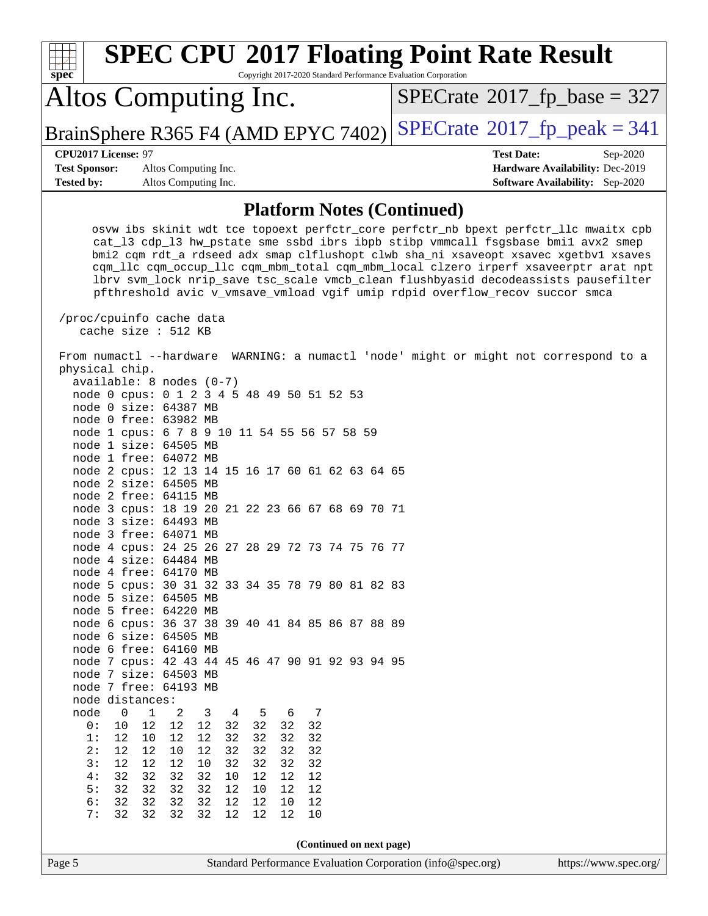| <b>SPEC CPU®2017 Floating Point Rate Result</b><br>Copyright 2017-2020 Standard Performance Evaluation Corporation<br>spec <sup>®</sup>                                                                                                                                                                                                                                                                                                                                                                                                                                                                                                                                                                                                                                                                                                                              |                                                                           |
|----------------------------------------------------------------------------------------------------------------------------------------------------------------------------------------------------------------------------------------------------------------------------------------------------------------------------------------------------------------------------------------------------------------------------------------------------------------------------------------------------------------------------------------------------------------------------------------------------------------------------------------------------------------------------------------------------------------------------------------------------------------------------------------------------------------------------------------------------------------------|---------------------------------------------------------------------------|
| Altos Computing Inc.                                                                                                                                                                                                                                                                                                                                                                                                                                                                                                                                                                                                                                                                                                                                                                                                                                                 | $SPECrate^{\circ}2017$ fp base = 327                                      |
| BrainSphere R365 F4 (AMD EPYC 7402)                                                                                                                                                                                                                                                                                                                                                                                                                                                                                                                                                                                                                                                                                                                                                                                                                                  | $SPECrate@2017_fp_peak = 341$                                             |
| CPU2017 License: 97                                                                                                                                                                                                                                                                                                                                                                                                                                                                                                                                                                                                                                                                                                                                                                                                                                                  | <b>Test Date:</b><br>Sep-2020                                             |
| <b>Test Sponsor:</b><br>Altos Computing Inc.<br><b>Tested by:</b><br>Altos Computing Inc.                                                                                                                                                                                                                                                                                                                                                                                                                                                                                                                                                                                                                                                                                                                                                                            | Hardware Availability: Dec-2019<br><b>Software Availability:</b> Sep-2020 |
|                                                                                                                                                                                                                                                                                                                                                                                                                                                                                                                                                                                                                                                                                                                                                                                                                                                                      |                                                                           |
| <b>Platform Notes (Continued)</b>                                                                                                                                                                                                                                                                                                                                                                                                                                                                                                                                                                                                                                                                                                                                                                                                                                    |                                                                           |
| osvw ibs skinit wdt tce topoext perfctr_core perfctr_nb bpext perfctr_llc mwaitx cpb<br>cat_13 cdp_13 hw_pstate sme ssbd ibrs ibpb stibp vmmcall fsgsbase bmil avx2 smep<br>bmi2 cqm rdt_a rdseed adx smap clflushopt clwb sha_ni xsaveopt xsavec xgetbvl xsaves<br>cqm_llc cqm_occup_llc cqm_mbm_total cqm_mbm_local clzero irperf xsaveerptr arat npt<br>lbrv svm_lock nrip_save tsc_scale vmcb_clean flushbyasid decodeassists pausefilter<br>pfthreshold avic v_vmsave_vmload vgif umip rdpid overflow_recov succor smca<br>/proc/cpuinfo cache data                                                                                                                                                                                                                                                                                                             |                                                                           |
| cache size : $512$ KB                                                                                                                                                                                                                                                                                                                                                                                                                                                                                                                                                                                                                                                                                                                                                                                                                                                |                                                                           |
| From numactl --hardware WARNING: a numactl 'node' might or might not correspond to a<br>physical chip.<br>$available: 8 nodes (0-7)$<br>node 0 cpus: 0 1 2 3 4 5 48 49 50 51 52 53<br>node 0 size: 64387 MB<br>node 0 free: 63982 MB<br>node 1 cpus: 6 7 8 9 10 11 54 55 56 57 58 59<br>node 1 size: 64505 MB<br>node 1 free: 64072 MB<br>node 2 cpus: 12 13 14 15 16 17 60 61 62 63 64 65<br>node 2 size: 64505 MB<br>node 2 free: 64115 MB<br>node 3 cpus: 18 19 20 21 22 23 66 67 68 69 70 71<br>node 3 size: 64493 MB<br>node 3 free: 64071 MB<br>node 4 cpus: 24 25 26 27 28 29 72 73 74 75 76 77<br>node 4 size: 64484 MB<br>node 4 free: 64170 MB<br>node 5 cpus: 30 31 32 33 34 35 78 79 80 81 82 83<br>node 5 size: 64505 MB<br>node 5 free: 64220 MB<br>node 6 cpus: 36 37 38 39 40 41 84 85 86 87 88 89<br>node 6 size: 64505 MB<br>node 6 free: 64160 MB |                                                                           |
| node 7 cpus: 42 43 44 45 46 47 90 91 92 93 94 95<br>node 7 size: 64503 MB                                                                                                                                                                                                                                                                                                                                                                                                                                                                                                                                                                                                                                                                                                                                                                                            |                                                                           |
| node 7 free: 64193 MB                                                                                                                                                                                                                                                                                                                                                                                                                                                                                                                                                                                                                                                                                                                                                                                                                                                |                                                                           |
| node distances:<br>node<br>1<br>7<br>0<br>2<br>3<br>4<br>5<br>6                                                                                                                                                                                                                                                                                                                                                                                                                                                                                                                                                                                                                                                                                                                                                                                                      |                                                                           |
| 12<br>32<br>32<br>32<br>0:<br>10<br>12<br>12<br>32                                                                                                                                                                                                                                                                                                                                                                                                                                                                                                                                                                                                                                                                                                                                                                                                                   |                                                                           |
| 1:<br>12<br>12<br>32<br>32<br>32<br>32<br>12<br>10<br>2:<br>12<br>12<br>12<br>32<br>32<br>32<br>10<br>32                                                                                                                                                                                                                                                                                                                                                                                                                                                                                                                                                                                                                                                                                                                                                             |                                                                           |
| 3:<br>12<br>12<br>32<br>12<br>10<br>32<br>32<br>32                                                                                                                                                                                                                                                                                                                                                                                                                                                                                                                                                                                                                                                                                                                                                                                                                   |                                                                           |
| 4:<br>32<br>32<br>32<br>12<br>32<br>10<br>12<br>12<br>5:<br>32<br>32<br>32<br>32<br>12<br>10<br>12<br>12                                                                                                                                                                                                                                                                                                                                                                                                                                                                                                                                                                                                                                                                                                                                                             |                                                                           |
| 32<br>6:<br>32<br>12<br>12<br>32<br>32<br>12<br>10                                                                                                                                                                                                                                                                                                                                                                                                                                                                                                                                                                                                                                                                                                                                                                                                                   |                                                                           |
| 7:<br>32<br>32<br>32<br>12<br>12<br>12<br>10<br>32                                                                                                                                                                                                                                                                                                                                                                                                                                                                                                                                                                                                                                                                                                                                                                                                                   |                                                                           |
| (Continued on next page)                                                                                                                                                                                                                                                                                                                                                                                                                                                                                                                                                                                                                                                                                                                                                                                                                                             |                                                                           |
| Page 5<br>Standard Performance Evaluation Corporation (info@spec.org)                                                                                                                                                                                                                                                                                                                                                                                                                                                                                                                                                                                                                                                                                                                                                                                                | https://www.spec.org/                                                     |
|                                                                                                                                                                                                                                                                                                                                                                                                                                                                                                                                                                                                                                                                                                                                                                                                                                                                      |                                                                           |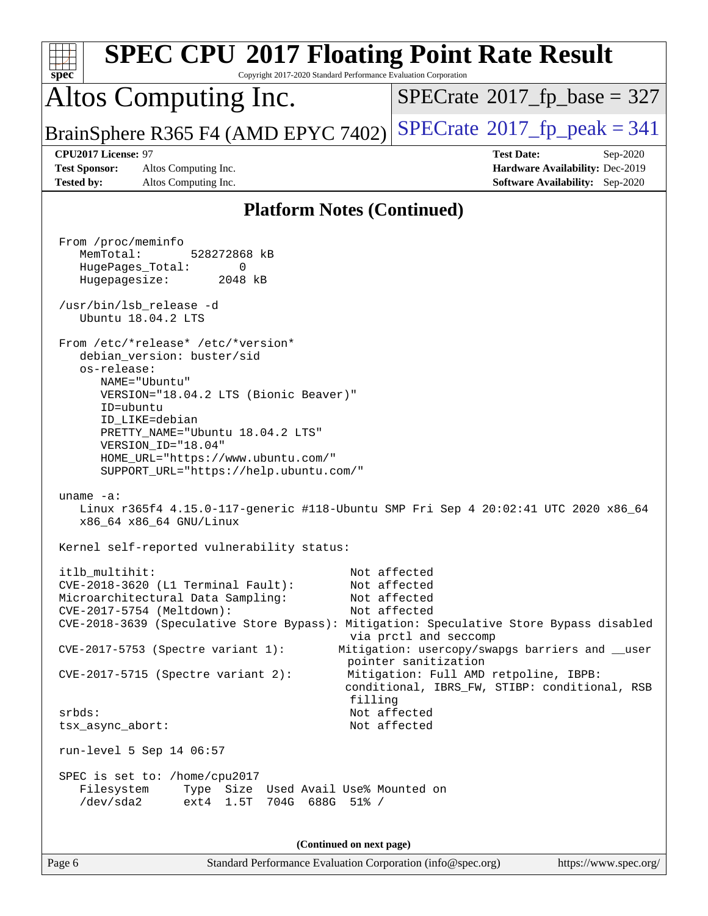| <b>SPEC CPU®2017 Floating Point Rate Result</b><br>Copyright 2017-2020 Standard Performance Evaluation Corporation<br>spec <sup>®</sup>                                                                                                                                                                                                                                                                                                                                                                                                           |                                                                                                                                                                                                                                                                                            |
|---------------------------------------------------------------------------------------------------------------------------------------------------------------------------------------------------------------------------------------------------------------------------------------------------------------------------------------------------------------------------------------------------------------------------------------------------------------------------------------------------------------------------------------------------|--------------------------------------------------------------------------------------------------------------------------------------------------------------------------------------------------------------------------------------------------------------------------------------------|
| Altos Computing Inc.                                                                                                                                                                                                                                                                                                                                                                                                                                                                                                                              | $SPECrate^{\circ}2017$ fp base = 327                                                                                                                                                                                                                                                       |
| BrainSphere R365 F4 (AMD EPYC 7402)                                                                                                                                                                                                                                                                                                                                                                                                                                                                                                               | $SPECrate^{\circ}2017$ fp peak = 341                                                                                                                                                                                                                                                       |
| CPU2017 License: 97<br><b>Test Sponsor:</b><br>Altos Computing Inc.<br><b>Tested by:</b><br>Altos Computing Inc.                                                                                                                                                                                                                                                                                                                                                                                                                                  | <b>Test Date:</b><br>Sep-2020<br>Hardware Availability: Dec-2019<br><b>Software Availability:</b> Sep-2020                                                                                                                                                                                 |
| <b>Platform Notes (Continued)</b>                                                                                                                                                                                                                                                                                                                                                                                                                                                                                                                 |                                                                                                                                                                                                                                                                                            |
| From /proc/meminfo<br>MemTotal:<br>528272868 kB<br>HugePages_Total:<br>0<br>Hugepagesize:<br>2048 kB<br>/usr/bin/lsb release -d<br>Ubuntu 18.04.2 LTS<br>From /etc/*release* /etc/*version*<br>debian_version: buster/sid<br>os-release:<br>NAME="Ubuntu"<br>VERSION="18.04.2 LTS (Bionic Beaver)"<br>ID=ubuntu<br>ID LIKE=debian<br>PRETTY_NAME="Ubuntu 18.04.2 LTS"<br>VERSION ID="18.04"<br>HOME_URL="https://www.ubuntu.com/"<br>SUPPORT_URL="https://help.ubuntu.com/"                                                                       |                                                                                                                                                                                                                                                                                            |
| uname $-a$ :<br>Linux r365f4 4.15.0-117-generic #118-Ubuntu SMP Fri Sep 4 20:02:41 UTC 2020 x86_64<br>x86_64 x86_64 GNU/Linux                                                                                                                                                                                                                                                                                                                                                                                                                     |                                                                                                                                                                                                                                                                                            |
| Kernel self-reported vulnerability status:<br>itlb_multihit:<br>CVE-2018-3620 (L1 Terminal Fault):<br>Microarchitectural Data Sampling:<br>CVE-2017-5754 (Meltdown):<br>CVE-2018-3639 (Speculative Store Bypass): Mitigation: Speculative Store Bypass disabled<br>CVE-2017-5753 (Spectre variant 1):<br>CVE-2017-5715 (Spectre variant 2):<br>filling<br>srbds:<br>tsx_async_abort:<br>run-level 5 Sep 14 06:57<br>SPEC is set to: /home/cpu2017<br>Type Size Used Avail Use% Mounted on<br>Filesystem<br>/dev/sda2<br>ext4 1.5T 704G 688G 51% / | Not affected<br>Not affected<br>Not affected<br>Not affected<br>via prctl and seccomp<br>Mitigation: usercopy/swapgs barriers and __user<br>pointer sanitization<br>Mitigation: Full AMD retpoline, IBPB:<br>conditional, IBRS_FW, STIBP: conditional, RSB<br>Not affected<br>Not affected |
| (Continued on next page)<br>Page 6<br>Standard Performance Evaluation Corporation (info@spec.org)                                                                                                                                                                                                                                                                                                                                                                                                                                                 | https://www.spec.org/                                                                                                                                                                                                                                                                      |
|                                                                                                                                                                                                                                                                                                                                                                                                                                                                                                                                                   |                                                                                                                                                                                                                                                                                            |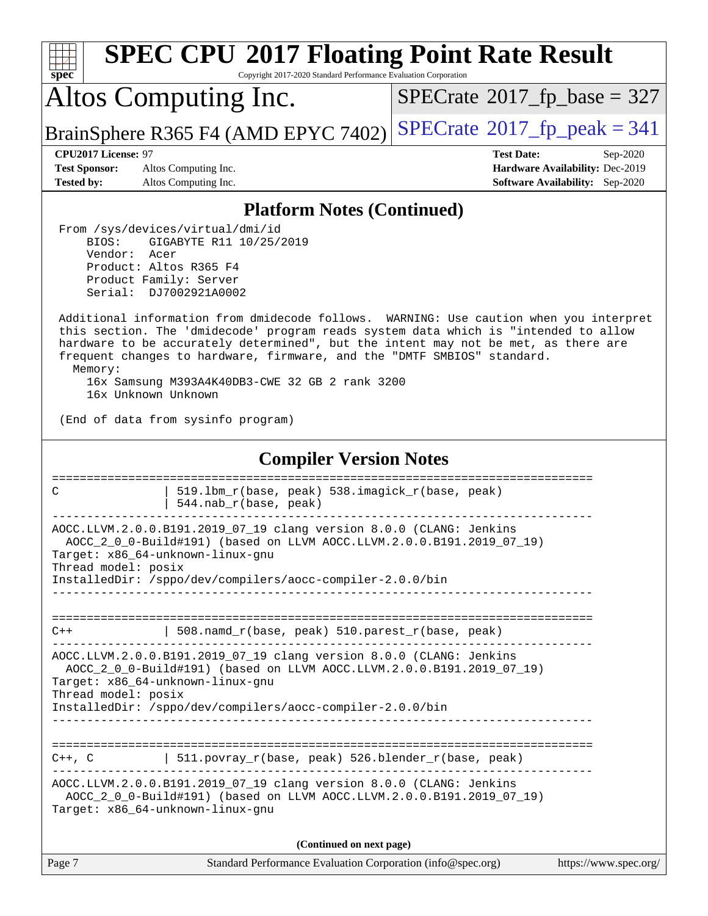| <b>SPEC CPU®2017 Floating Point Rate Result</b><br>Copyright 2017-2020 Standard Performance Evaluation Corporation<br>spec <sup>®</sup>                                                                                                                                                                                                                                                                                            |                                                                                                            |  |  |  |  |  |  |  |
|------------------------------------------------------------------------------------------------------------------------------------------------------------------------------------------------------------------------------------------------------------------------------------------------------------------------------------------------------------------------------------------------------------------------------------|------------------------------------------------------------------------------------------------------------|--|--|--|--|--|--|--|
| Altos Computing Inc.                                                                                                                                                                                                                                                                                                                                                                                                               | $SPECrate^{\circ}2017$ fp base = 327                                                                       |  |  |  |  |  |  |  |
| BrainSphere R365 F4 (AMD EPYC 7402)                                                                                                                                                                                                                                                                                                                                                                                                | $SPECTate@2017fr peak = 341$                                                                               |  |  |  |  |  |  |  |
| CPU2017 License: 97<br><b>Test Sponsor:</b><br>Altos Computing Inc.<br><b>Tested by:</b><br>Altos Computing Inc.                                                                                                                                                                                                                                                                                                                   | <b>Test Date:</b><br>Sep-2020<br>Hardware Availability: Dec-2019<br><b>Software Availability:</b> Sep-2020 |  |  |  |  |  |  |  |
| <b>Platform Notes (Continued)</b>                                                                                                                                                                                                                                                                                                                                                                                                  |                                                                                                            |  |  |  |  |  |  |  |
| From /sys/devices/virtual/dmi/id<br>BIOS:<br>GIGABYTE R11 10/25/2019<br>Vendor:<br>Acer<br>Product: Altos R365 F4<br>Product Family: Server<br>Serial: DJ7002921A0002                                                                                                                                                                                                                                                              |                                                                                                            |  |  |  |  |  |  |  |
| Additional information from dmidecode follows. WARNING: Use caution when you interpret<br>this section. The 'dmidecode' program reads system data which is "intended to allow<br>hardware to be accurately determined", but the intent may not be met, as there are<br>frequent changes to hardware, firmware, and the "DMTF SMBIOS" standard.<br>Memory:<br>16x Samsung M393A4K40DB3-CWE 32 GB 2 rank 3200<br>16x Unknown Unknown |                                                                                                            |  |  |  |  |  |  |  |
| (End of data from sysinfo program)                                                                                                                                                                                                                                                                                                                                                                                                 |                                                                                                            |  |  |  |  |  |  |  |
| <b>Compiler Version Notes</b>                                                                                                                                                                                                                                                                                                                                                                                                      |                                                                                                            |  |  |  |  |  |  |  |
| ==============================<br>================<br>519.1bm_r(base, peak) 538.imagick_r(base, peak)<br>C<br>544.nab_r(base, peak)                                                                                                                                                                                                                                                                                                |                                                                                                            |  |  |  |  |  |  |  |
| AOCC.LLVM.2.0.0.B191.2019_07_19 clang version 8.0.0 (CLANG: Jenkins<br>AOCC_2_0_0-Build#191) (based on LLVM AOCC.LLVM.2.0.0.B191.2019_07_19)<br>Target: x86 64-unknown-linux-gnu<br>Thread model: posix<br>InstalledDir: /sppo/dev/compilers/aocc-compiler-2.0.0/bin                                                                                                                                                               |                                                                                                            |  |  |  |  |  |  |  |
| 508.namd_r(base, peak) 510.parest_r(base, peak)<br>$C++$                                                                                                                                                                                                                                                                                                                                                                           |                                                                                                            |  |  |  |  |  |  |  |
| AOCC.LLVM.2.0.0.B191.2019_07_19 clang version 8.0.0 (CLANG: Jenkins<br>AOCC_2_0_0-Build#191) (based on LLVM AOCC.LLVM.2.0.0.B191.2019_07_19)<br>Target: x86_64-unknown-linux-gnu<br>Thread model: posix<br>InstalledDir: /sppo/dev/compilers/aocc-compiler-2.0.0/bin                                                                                                                                                               |                                                                                                            |  |  |  |  |  |  |  |
| 511.povray_r(base, peak) 526.blender_r(base, peak)<br>C++, C<br>AOCC.LLVM.2.0.0.B191.2019_07_19 clang version 8.0.0 (CLANG: Jenkins<br>AOCC_2_0_0-Build#191) (based on LLVM AOCC.LLVM.2.0.0.B191.2019_07_19)<br>Target: x86_64-unknown-linux-gnu                                                                                                                                                                                   |                                                                                                            |  |  |  |  |  |  |  |
| (Continued on next page)                                                                                                                                                                                                                                                                                                                                                                                                           |                                                                                                            |  |  |  |  |  |  |  |
| Page 7<br>Standard Performance Evaluation Corporation (info@spec.org)                                                                                                                                                                                                                                                                                                                                                              | https://www.spec.org/                                                                                      |  |  |  |  |  |  |  |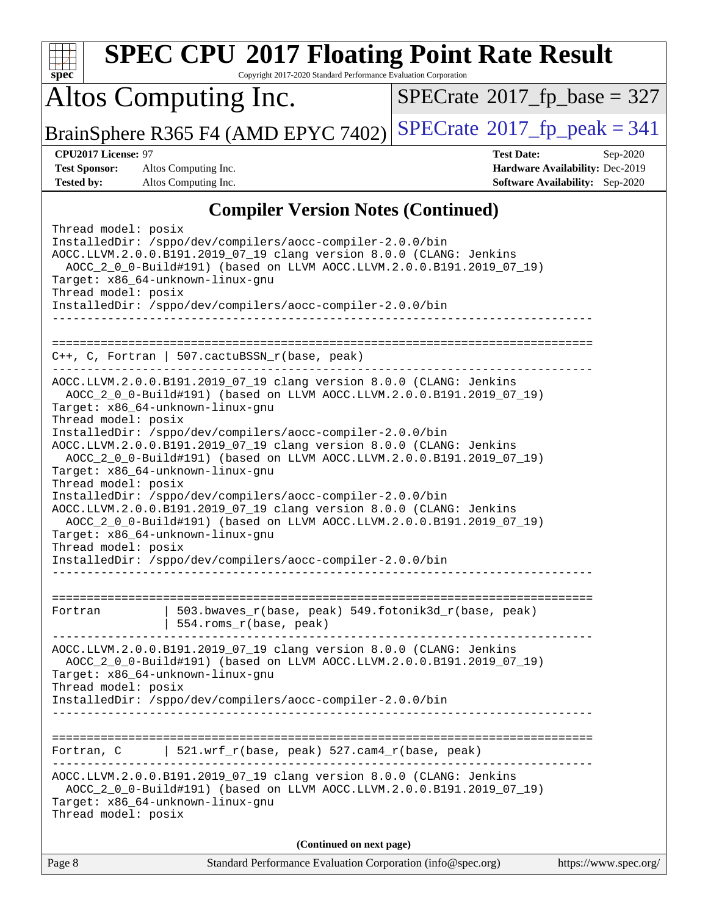|                                                                   | <b>SPEC CPU®2017 Floating Point Rate Result</b>                                                                                                                                                                                                                                                                                                                                                                                                                                                                                                                                                                                                                                                                                                 |                                             |                                                                           |
|-------------------------------------------------------------------|-------------------------------------------------------------------------------------------------------------------------------------------------------------------------------------------------------------------------------------------------------------------------------------------------------------------------------------------------------------------------------------------------------------------------------------------------------------------------------------------------------------------------------------------------------------------------------------------------------------------------------------------------------------------------------------------------------------------------------------------------|---------------------------------------------|---------------------------------------------------------------------------|
| spec                                                              | Copyright 2017-2020 Standard Performance Evaluation Corporation                                                                                                                                                                                                                                                                                                                                                                                                                                                                                                                                                                                                                                                                                 |                                             |                                                                           |
|                                                                   | Altos Computing Inc.                                                                                                                                                                                                                                                                                                                                                                                                                                                                                                                                                                                                                                                                                                                            | $SPECrate$ <sup>®</sup> 2017_fp_base = 327  |                                                                           |
|                                                                   | BrainSphere R365 F4 (AMD EPYC 7402)                                                                                                                                                                                                                                                                                                                                                                                                                                                                                                                                                                                                                                                                                                             | $SPECrate^{\circledcirc}2017$ [p_peak = 341 |                                                                           |
| CPU2017 License: 97                                               |                                                                                                                                                                                                                                                                                                                                                                                                                                                                                                                                                                                                                                                                                                                                                 | <b>Test Date:</b>                           | Sep-2020                                                                  |
| <b>Test Sponsor:</b><br><b>Tested by:</b>                         | Altos Computing Inc.<br>Altos Computing Inc.                                                                                                                                                                                                                                                                                                                                                                                                                                                                                                                                                                                                                                                                                                    |                                             | Hardware Availability: Dec-2019<br><b>Software Availability:</b> Sep-2020 |
|                                                                   | <b>Compiler Version Notes (Continued)</b>                                                                                                                                                                                                                                                                                                                                                                                                                                                                                                                                                                                                                                                                                                       |                                             |                                                                           |
| Thread model: posix<br>Thread model: posix                        | InstalledDir: /sppo/dev/compilers/aocc-compiler-2.0.0/bin<br>AOCC.LLVM.2.0.0.B191.2019_07_19 clang version 8.0.0 (CLANG: Jenkins<br>AOCC_2_0_0-Build#191) (based on LLVM AOCC.LLVM.2.0.0.B191.2019_07_19)<br>Target: x86_64-unknown-linux-gnu<br>InstalledDir: /sppo/dev/compilers/aocc-compiler-2.0.0/bin                                                                                                                                                                                                                                                                                                                                                                                                                                      |                                             |                                                                           |
| =============================                                     | ===========<br>$C++$ , C, Fortran   507.cactuBSSN_r(base, peak)                                                                                                                                                                                                                                                                                                                                                                                                                                                                                                                                                                                                                                                                                 |                                             |                                                                           |
| Thread model: posix<br>Thread model: posix<br>Thread model: posix | AOCC.LLVM.2.0.0.B191.2019_07_19 clang version 8.0.0 (CLANG: Jenkins<br>AOCC_2_0_0-Build#191) (based on LLVM AOCC.LLVM.2.0.0.B191.2019_07_19)<br>Target: x86_64-unknown-linux-gnu<br>InstalledDir: /sppo/dev/compilers/aocc-compiler-2.0.0/bin<br>AOCC.LLVM.2.0.0.B191.2019_07_19 clang version 8.0.0 (CLANG: Jenkins<br>AOCC_2_0_0-Build#191) (based on LLVM AOCC.LLVM.2.0.0.B191.2019_07_19)<br>Target: x86_64-unknown-linux-gnu<br>InstalledDir: /sppo/dev/compilers/aocc-compiler-2.0.0/bin<br>AOCC.LLVM.2.0.0.B191.2019_07_19 clang version 8.0.0 (CLANG: Jenkins<br>AOCC_2_0_0-Build#191) (based on LLVM AOCC.LLVM.2.0.0.B191.2019_07_19)<br>Target: x86_64-unknown-linux-gnu<br>InstalledDir: /sppo/dev/compilers/aocc-compiler-2.0.0/bin |                                             |                                                                           |
| Fortran                                                           | 503.bwaves_r(base, peak) 549.fotonik3d_r(base, peak)<br>554.roms_r(base, peak)                                                                                                                                                                                                                                                                                                                                                                                                                                                                                                                                                                                                                                                                  |                                             |                                                                           |
| Thread model: posix                                               | AOCC.LLVM.2.0.0.B191.2019_07_19 clang version 8.0.0 (CLANG: Jenkins<br>AOCC_2_0_0-Build#191) (based on LLVM AOCC.LLVM.2.0.0.B191.2019_07_19)<br>Target: x86_64-unknown-linux-gnu<br>InstalledDir: /sppo/dev/compilers/aocc-compiler-2.0.0/bin                                                                                                                                                                                                                                                                                                                                                                                                                                                                                                   |                                             |                                                                           |
|                                                                   |                                                                                                                                                                                                                                                                                                                                                                                                                                                                                                                                                                                                                                                                                                                                                 |                                             |                                                                           |
| Fortran, C                                                        | 521.wrf_r(base, peak) 527.cam4_r(base, peak)                                                                                                                                                                                                                                                                                                                                                                                                                                                                                                                                                                                                                                                                                                    |                                             |                                                                           |
| Thread model: posix                                               | AOCC.LLVM.2.0.0.B191.2019_07_19 clang version 8.0.0 (CLANG: Jenkins<br>AOCC_2_0_0-Build#191) (based on LLVM AOCC.LLVM.2.0.0.B191.2019_07_19)<br>Target: x86_64-unknown-linux-gnu                                                                                                                                                                                                                                                                                                                                                                                                                                                                                                                                                                |                                             |                                                                           |
|                                                                   | (Continued on next page)                                                                                                                                                                                                                                                                                                                                                                                                                                                                                                                                                                                                                                                                                                                        |                                             |                                                                           |
| Page 8                                                            | Standard Performance Evaluation Corporation (info@spec.org)                                                                                                                                                                                                                                                                                                                                                                                                                                                                                                                                                                                                                                                                                     |                                             | https://www.spec.org/                                                     |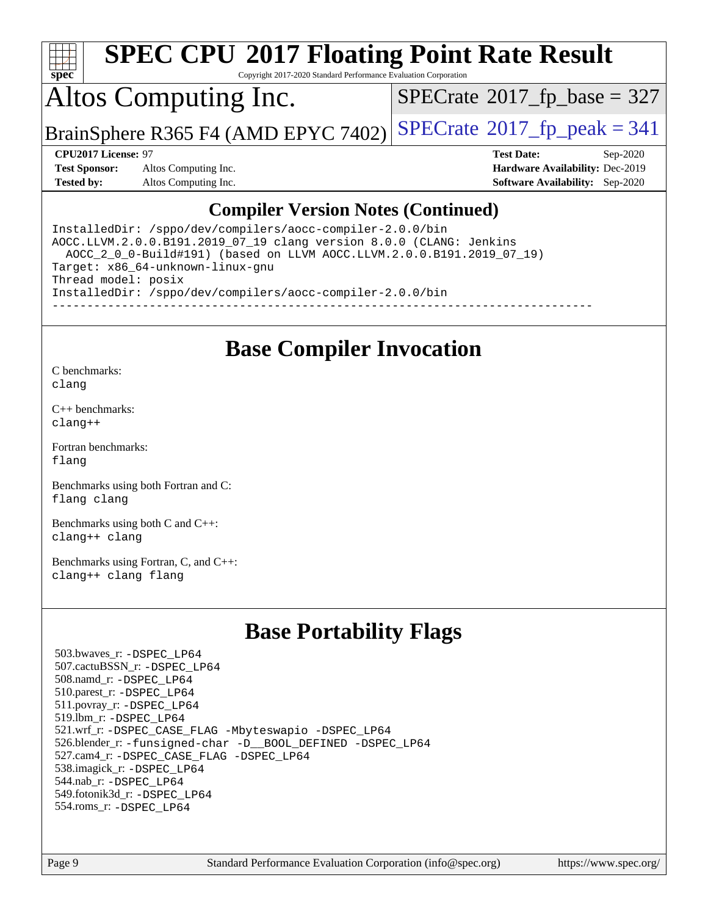

Copyright 2017-2020 Standard Performance Evaluation Corporation

## Altos Computing Inc.

 $SPECTate$ <sup>®</sup>[2017\\_fp\\_base =](http://www.spec.org/auto/cpu2017/Docs/result-fields.html#SPECrate2017fpbase) 327

BrainSphere R365 F4 (AMD EPYC 7402) [SPECrate](http://www.spec.org/auto/cpu2017/Docs/result-fields.html#SPECrate2017fppeak)®[2017\\_fp\\_peak = 3](http://www.spec.org/auto/cpu2017/Docs/result-fields.html#SPECrate2017fppeak)41

**[Test Sponsor:](http://www.spec.org/auto/cpu2017/Docs/result-fields.html#TestSponsor)** Altos Computing Inc. **[Hardware Availability:](http://www.spec.org/auto/cpu2017/Docs/result-fields.html#HardwareAvailability)** Dec-2019 **[Tested by:](http://www.spec.org/auto/cpu2017/Docs/result-fields.html#Testedby)** Altos Computing Inc. **[Software Availability:](http://www.spec.org/auto/cpu2017/Docs/result-fields.html#SoftwareAvailability)** Sep-2020

**[CPU2017 License:](http://www.spec.org/auto/cpu2017/Docs/result-fields.html#CPU2017License)** 97 **[Test Date:](http://www.spec.org/auto/cpu2017/Docs/result-fields.html#TestDate)** Sep-2020

#### **[Compiler Version Notes \(Continued\)](http://www.spec.org/auto/cpu2017/Docs/result-fields.html#CompilerVersionNotes)**

InstalledDir: /sppo/dev/compilers/aocc-compiler-2.0.0/bin AOCC.LLVM.2.0.0.B191.2019\_07\_19 clang version 8.0.0 (CLANG: Jenkins AOCC\_2\_0\_0-Build#191) (based on LLVM AOCC.LLVM.2.0.0.B191.2019\_07\_19) Target: x86\_64-unknown-linux-gnu Thread model: posix InstalledDir: /sppo/dev/compilers/aocc-compiler-2.0.0/bin ------------------------------------------------------------------------------

#### **[Base Compiler Invocation](http://www.spec.org/auto/cpu2017/Docs/result-fields.html#BaseCompilerInvocation)**

[C benchmarks](http://www.spec.org/auto/cpu2017/Docs/result-fields.html#Cbenchmarks): [clang](http://www.spec.org/cpu2017/results/res2020q4/cpu2017-20201012-24191.flags.html#user_CCbase_clang-c)

[C++ benchmarks:](http://www.spec.org/auto/cpu2017/Docs/result-fields.html#CXXbenchmarks) [clang++](http://www.spec.org/cpu2017/results/res2020q4/cpu2017-20201012-24191.flags.html#user_CXXbase_clang-cpp)

[Fortran benchmarks](http://www.spec.org/auto/cpu2017/Docs/result-fields.html#Fortranbenchmarks): [flang](http://www.spec.org/cpu2017/results/res2020q4/cpu2017-20201012-24191.flags.html#user_FCbase_flang)

[Benchmarks using both Fortran and C](http://www.spec.org/auto/cpu2017/Docs/result-fields.html#BenchmarksusingbothFortranandC): [flang](http://www.spec.org/cpu2017/results/res2020q4/cpu2017-20201012-24191.flags.html#user_CC_FCbase_flang) [clang](http://www.spec.org/cpu2017/results/res2020q4/cpu2017-20201012-24191.flags.html#user_CC_FCbase_clang-c)

[Benchmarks using both C and C++](http://www.spec.org/auto/cpu2017/Docs/result-fields.html#BenchmarksusingbothCandCXX): [clang++](http://www.spec.org/cpu2017/results/res2020q4/cpu2017-20201012-24191.flags.html#user_CC_CXXbase_clang-cpp) [clang](http://www.spec.org/cpu2017/results/res2020q4/cpu2017-20201012-24191.flags.html#user_CC_CXXbase_clang-c)

[Benchmarks using Fortran, C, and C++:](http://www.spec.org/auto/cpu2017/Docs/result-fields.html#BenchmarksusingFortranCandCXX) [clang++](http://www.spec.org/cpu2017/results/res2020q4/cpu2017-20201012-24191.flags.html#user_CC_CXX_FCbase_clang-cpp) [clang](http://www.spec.org/cpu2017/results/res2020q4/cpu2017-20201012-24191.flags.html#user_CC_CXX_FCbase_clang-c) [flang](http://www.spec.org/cpu2017/results/res2020q4/cpu2017-20201012-24191.flags.html#user_CC_CXX_FCbase_flang)

### **[Base Portability Flags](http://www.spec.org/auto/cpu2017/Docs/result-fields.html#BasePortabilityFlags)**

 503.bwaves\_r: [-DSPEC\\_LP64](http://www.spec.org/cpu2017/results/res2020q4/cpu2017-20201012-24191.flags.html#suite_baseEXTRA_PORTABILITY503_bwaves_r_DSPEC_LP64) 507.cactuBSSN\_r: [-DSPEC\\_LP64](http://www.spec.org/cpu2017/results/res2020q4/cpu2017-20201012-24191.flags.html#suite_baseEXTRA_PORTABILITY507_cactuBSSN_r_DSPEC_LP64) 508.namd\_r: [-DSPEC\\_LP64](http://www.spec.org/cpu2017/results/res2020q4/cpu2017-20201012-24191.flags.html#suite_baseEXTRA_PORTABILITY508_namd_r_DSPEC_LP64) 510.parest\_r: [-DSPEC\\_LP64](http://www.spec.org/cpu2017/results/res2020q4/cpu2017-20201012-24191.flags.html#suite_baseEXTRA_PORTABILITY510_parest_r_DSPEC_LP64) 511.povray\_r: [-DSPEC\\_LP64](http://www.spec.org/cpu2017/results/res2020q4/cpu2017-20201012-24191.flags.html#suite_baseEXTRA_PORTABILITY511_povray_r_DSPEC_LP64) 519.lbm\_r: [-DSPEC\\_LP64](http://www.spec.org/cpu2017/results/res2020q4/cpu2017-20201012-24191.flags.html#suite_baseEXTRA_PORTABILITY519_lbm_r_DSPEC_LP64) 521.wrf\_r: [-DSPEC\\_CASE\\_FLAG](http://www.spec.org/cpu2017/results/res2020q4/cpu2017-20201012-24191.flags.html#b521.wrf_r_baseCPORTABILITY_DSPEC_CASE_FLAG) [-Mbyteswapio](http://www.spec.org/cpu2017/results/res2020q4/cpu2017-20201012-24191.flags.html#user_baseFPORTABILITY521_wrf_r_F-mbyteswapio_543c39ce38db59bcbc3b888917ef58c313007ae1c27520b689e012995ae261114051d1d5efcb4182d175ce22a6a15532d3a9999882dd2c360e6d853f41da6883) [-DSPEC\\_LP64](http://www.spec.org/cpu2017/results/res2020q4/cpu2017-20201012-24191.flags.html#suite_baseEXTRA_PORTABILITY521_wrf_r_DSPEC_LP64) 526.blender\_r: [-funsigned-char](http://www.spec.org/cpu2017/results/res2020q4/cpu2017-20201012-24191.flags.html#user_baseCPORTABILITY526_blender_r_aocc-unsigned-char) [-D\\_\\_BOOL\\_DEFINED](http://www.spec.org/cpu2017/results/res2020q4/cpu2017-20201012-24191.flags.html#b526.blender_r_baseCXXPORTABILITY_D__BOOL_DEFINED) [-DSPEC\\_LP64](http://www.spec.org/cpu2017/results/res2020q4/cpu2017-20201012-24191.flags.html#suite_baseEXTRA_PORTABILITY526_blender_r_DSPEC_LP64) 527.cam4\_r: [-DSPEC\\_CASE\\_FLAG](http://www.spec.org/cpu2017/results/res2020q4/cpu2017-20201012-24191.flags.html#b527.cam4_r_basePORTABILITY_DSPEC_CASE_FLAG) [-DSPEC\\_LP64](http://www.spec.org/cpu2017/results/res2020q4/cpu2017-20201012-24191.flags.html#suite_baseEXTRA_PORTABILITY527_cam4_r_DSPEC_LP64) 538.imagick\_r: [-DSPEC\\_LP64](http://www.spec.org/cpu2017/results/res2020q4/cpu2017-20201012-24191.flags.html#suite_baseEXTRA_PORTABILITY538_imagick_r_DSPEC_LP64) 544.nab\_r: [-DSPEC\\_LP64](http://www.spec.org/cpu2017/results/res2020q4/cpu2017-20201012-24191.flags.html#suite_baseEXTRA_PORTABILITY544_nab_r_DSPEC_LP64) 549.fotonik3d\_r: [-DSPEC\\_LP64](http://www.spec.org/cpu2017/results/res2020q4/cpu2017-20201012-24191.flags.html#suite_baseEXTRA_PORTABILITY549_fotonik3d_r_DSPEC_LP64) 554.roms\_r: [-DSPEC\\_LP64](http://www.spec.org/cpu2017/results/res2020q4/cpu2017-20201012-24191.flags.html#suite_baseEXTRA_PORTABILITY554_roms_r_DSPEC_LP64)

Page 9 Standard Performance Evaluation Corporation [\(info@spec.org\)](mailto:info@spec.org) <https://www.spec.org/>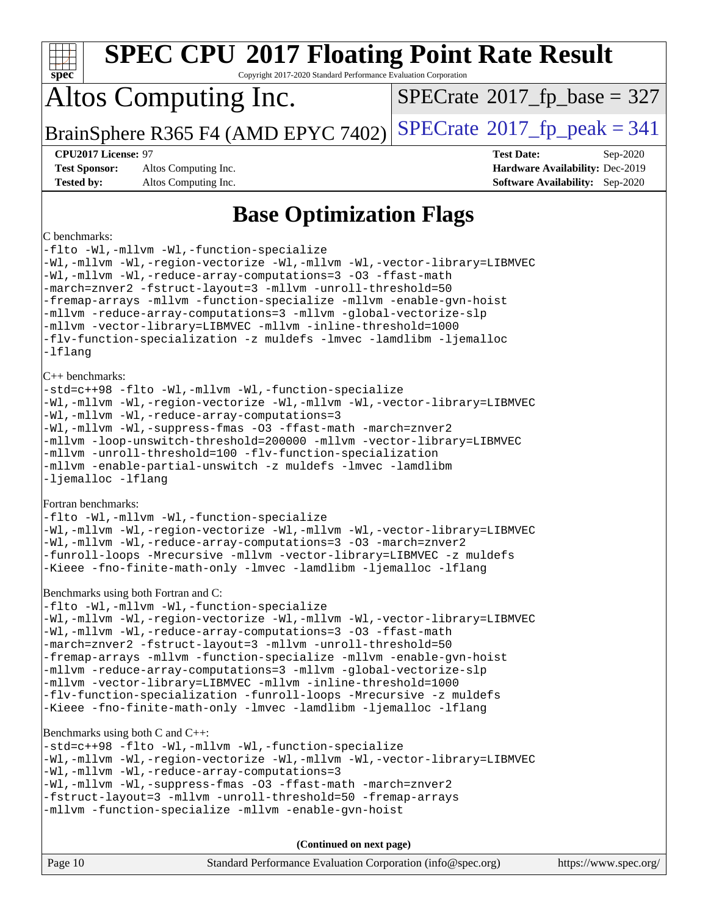| <b>SPEC CPU®2017 Floating Point Rate Result</b><br>Spec<br>Copyright 2017-2020 Standard Performance Evaluation Corporation                                                                                                                                                                                                                                                                                                                                                                                                                                                                                                                      |                                                                                                            |
|-------------------------------------------------------------------------------------------------------------------------------------------------------------------------------------------------------------------------------------------------------------------------------------------------------------------------------------------------------------------------------------------------------------------------------------------------------------------------------------------------------------------------------------------------------------------------------------------------------------------------------------------------|------------------------------------------------------------------------------------------------------------|
| Altos Computing Inc.                                                                                                                                                                                                                                                                                                                                                                                                                                                                                                                                                                                                                            | $SPECrate$ <sup>®</sup> 2017_fp_base = 327                                                                 |
| BrainSphere R365 F4 (AMD EPYC 7402)                                                                                                                                                                                                                                                                                                                                                                                                                                                                                                                                                                                                             | $SPECrate^{\circ}2017$ _fp_peak = 341                                                                      |
| CPU2017 License: 97<br><b>Test Sponsor:</b><br>Altos Computing Inc.<br><b>Tested by:</b><br>Altos Computing Inc.                                                                                                                                                                                                                                                                                                                                                                                                                                                                                                                                | <b>Test Date:</b><br>Sep-2020<br>Hardware Availability: Dec-2019<br><b>Software Availability:</b> Sep-2020 |
| <b>Base Optimization Flags</b>                                                                                                                                                                                                                                                                                                                                                                                                                                                                                                                                                                                                                  |                                                                                                            |
| C benchmarks:<br>-flto -Wl,-mllvm -Wl,-function-specialize<br>-Wl,-mllvm -Wl,-region-vectorize -Wl,-mllvm -Wl,-vector-library=LIBMVEC<br>-Wl,-mllvm -Wl,-reduce-array-computations=3 -03 -ffast-math<br>-march=znver2 -fstruct-layout=3 -mllvm -unroll-threshold=50<br>-fremap-arrays -mllvm -function-specialize -mllvm -enable-gvn-hoist<br>-mllvm -reduce-array-computations=3 -mllvm -global-vectorize-slp<br>-mllvm -vector-library=LIBMVEC -mllvm -inline-threshold=1000<br>-flv-function-specialization -z muldefs -lmvec -lamdlibm -ljemalloc<br>-lflang                                                                                |                                                                                                            |
| $C++$ benchmarks:<br>-std=c++98 -flto -Wl,-mllvm -Wl,-function-specialize<br>-Wl,-mllvm -Wl,-region-vectorize -Wl,-mllvm -Wl,-vector-library=LIBMVEC<br>-Wl,-mllvm -Wl,-reduce-array-computations=3<br>-Wl,-mllvm -Wl,-suppress-fmas -O3 -ffast-math -march=znver2<br>-mllvm -loop-unswitch-threshold=200000 -mllvm -vector-library=LIBMVEC<br>-mllvm -unroll-threshold=100 -flv-function-specialization<br>-mllvm -enable-partial-unswitch -z muldefs -lmvec -lamdlibm<br>-ljemalloc -lflang                                                                                                                                                   |                                                                                                            |
| Fortran benchmarks:<br>-flto -Wl,-mllvm -Wl,-function-specialize<br>-Wl,-mllvm -Wl,-region-vectorize -Wl,-mllvm -Wl,-vector-library=LIBMVEC<br>-Wl,-mllvm -Wl,-reduce-array-computations=3 -03 -march=znver2<br>-funroll-loops -Mrecursive -mllvm -vector-library=LIBMVEC -z muldefs<br>-Kieee -fno-finite-math-only -lmvec -lamdlibm -ljemalloc -lflang                                                                                                                                                                                                                                                                                        |                                                                                                            |
| Benchmarks using both Fortran and C:<br>-flto -Wl,-mllvm -Wl,-function-specialize<br>-Wl,-mllvm -Wl,-region-vectorize -Wl,-mllvm -Wl,-vector-library=LIBMVEC<br>-Wl,-mllvm -Wl,-reduce-array-computations=3 -03 -ffast-math<br>-march=znver2 -fstruct-layout=3 -mllvm -unroll-threshold=50<br>-fremap-arrays -mllvm -function-specialize -mllvm -enable-gvn-hoist<br>-mllvm -reduce-array-computations=3 -mllvm -global-vectorize-slp<br>-mllvm -vector-library=LIBMVEC -mllvm -inline-threshold=1000<br>-flv-function-specialization -funroll-loops -Mrecursive -z muldefs<br>-Kieee -fno-finite-math-only -lmvec -lamdlibm -ljemalloc -lflang |                                                                                                            |
| Benchmarks using both C and C++:<br>-std=c++98 -flto -Wl,-mllvm -Wl,-function-specialize<br>-Wl,-mllvm -Wl,-region-vectorize -Wl,-mllvm -Wl,-vector-library=LIBMVEC<br>-Wl,-mllvm -Wl,-reduce-array-computations=3<br>-Wl,-mllvm -Wl,-suppress-fmas -O3 -ffast-math -march=znver2<br>-fstruct-layout=3 -mllvm -unroll-threshold=50 -fremap-arrays<br>-mllvm -function-specialize -mllvm -enable-gvn-hoist                                                                                                                                                                                                                                       |                                                                                                            |
| (Continued on next page)                                                                                                                                                                                                                                                                                                                                                                                                                                                                                                                                                                                                                        |                                                                                                            |
| Page 10<br>Standard Performance Evaluation Corporation (info@spec.org)                                                                                                                                                                                                                                                                                                                                                                                                                                                                                                                                                                          | https://www.spec.org/                                                                                      |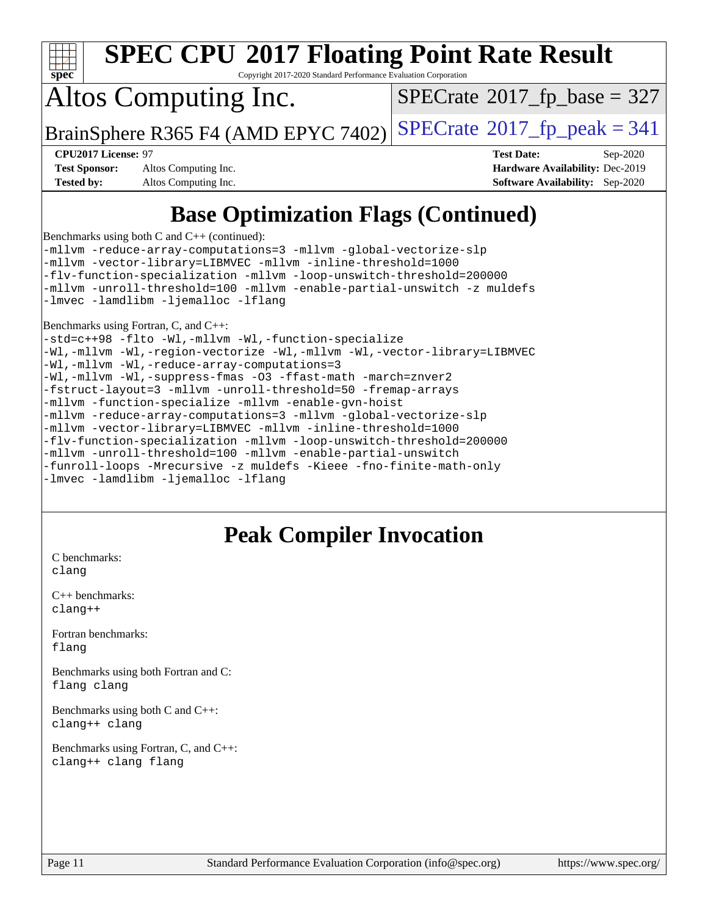

Copyright 2017-2020 Standard Performance Evaluation Corporation

## Altos Computing Inc.

 $SPECTate$ <sup>®</sup>[2017\\_fp\\_base =](http://www.spec.org/auto/cpu2017/Docs/result-fields.html#SPECrate2017fpbase) 327

BrainSphere R365 F4 (AMD EPYC 7402) [SPECrate](http://www.spec.org/auto/cpu2017/Docs/result-fields.html#SPECrate2017fppeak)®[2017\\_fp\\_peak = 3](http://www.spec.org/auto/cpu2017/Docs/result-fields.html#SPECrate2017fppeak)41

**[Test Sponsor:](http://www.spec.org/auto/cpu2017/Docs/result-fields.html#TestSponsor)** Altos Computing Inc. **[Hardware Availability:](http://www.spec.org/auto/cpu2017/Docs/result-fields.html#HardwareAvailability)** Dec-2019 **[Tested by:](http://www.spec.org/auto/cpu2017/Docs/result-fields.html#Testedby)** Altos Computing Inc. **[Software Availability:](http://www.spec.org/auto/cpu2017/Docs/result-fields.html#SoftwareAvailability)** Sep-2020

**[CPU2017 License:](http://www.spec.org/auto/cpu2017/Docs/result-fields.html#CPU2017License)** 97 **[Test Date:](http://www.spec.org/auto/cpu2017/Docs/result-fields.html#TestDate)** Sep-2020

### **[Base Optimization Flags \(Continued\)](http://www.spec.org/auto/cpu2017/Docs/result-fields.html#BaseOptimizationFlags)**

[Benchmarks using both C and C++](http://www.spec.org/auto/cpu2017/Docs/result-fields.html#BenchmarksusingbothCandCXX) (continued):

[-mllvm -reduce-array-computations=3](http://www.spec.org/cpu2017/results/res2020q4/cpu2017-20201012-24191.flags.html#user_CC_CXXbase_F-reduce-array-computations_aceadb8604558b566e0e3a0d7a3c1533923dd1fa0889614e16288028922629a28d5695c24d3b3be4306b1e311c54317dfffe3a2e57fbcaabc737a1798de39145) [-mllvm -global-vectorize-slp](http://www.spec.org/cpu2017/results/res2020q4/cpu2017-20201012-24191.flags.html#user_CC_CXXbase_F-global-vectorize-slp_a3935e8627af4ced727033b1ffd4db27f4d541a363d28d82bf4c2925fb3a0fd4115d6e42d13a2829f9e024d6608eb67a85cb49770f2da5c5ac8dbc737afad603) [-mllvm -vector-library=LIBMVEC](http://www.spec.org/cpu2017/results/res2020q4/cpu2017-20201012-24191.flags.html#user_CC_CXXbase_F-use-vector-library_e584e20b4f7ec96aa109254b65d8e01d864f3d68580371b9d93ed7c338191d4cfce20c3c864632264effc6bbe4c7c38153d02096a342ee92501c4a53204a7871) [-mllvm -inline-threshold=1000](http://www.spec.org/cpu2017/results/res2020q4/cpu2017-20201012-24191.flags.html#user_CC_CXXbase_dragonegg-llvm-inline-threshold_b7832241b0a6397e4ecdbaf0eb7defdc10f885c2a282fa3240fdc99844d543fda39cf8a4a9dccf68cf19b5438ac3b455264f478df15da0f4988afa40d8243bab) [-flv-function-specialization](http://www.spec.org/cpu2017/results/res2020q4/cpu2017-20201012-24191.flags.html#user_CC_CXXbase_F-flv-function-specialization) [-mllvm -loop-unswitch-threshold=200000](http://www.spec.org/cpu2017/results/res2020q4/cpu2017-20201012-24191.flags.html#user_CC_CXXbase_F-loop-unswitch-threshold_f9a82ae3270e55b5fbf79d0d96ee93606b73edbbe527d20b18b7bff1a3a146ad50cfc7454c5297978340ae9213029016a7d16221274d672d3f7f42ed25274e1d) [-mllvm -unroll-threshold=100](http://www.spec.org/cpu2017/results/res2020q4/cpu2017-20201012-24191.flags.html#user_CC_CXXbase_F-unroll-threshold_2755d0c78138845d361fa1543e3a063fffa198df9b3edf0cfb856bbc88a81e1769b12ac7a550c5d35197be55360db1a3f95a8d1304df999456cabf5120c45168) [-mllvm -enable-partial-unswitch](http://www.spec.org/cpu2017/results/res2020q4/cpu2017-20201012-24191.flags.html#user_CC_CXXbase_F-enable-partial-unswitch_6e1c33f981d77963b1eaf834973128a7f33ce3f8e27f54689656697a35e89dcc875281e0e6283d043e32f367dcb605ba0e307a92e830f7e326789fa6c61b35d3) [-z muldefs](http://www.spec.org/cpu2017/results/res2020q4/cpu2017-20201012-24191.flags.html#user_CC_CXXbase_aocc-muldefs) [-lmvec](http://www.spec.org/cpu2017/results/res2020q4/cpu2017-20201012-24191.flags.html#user_CC_CXXbase_F-lmvec) [-lamdlibm](http://www.spec.org/cpu2017/results/res2020q4/cpu2017-20201012-24191.flags.html#user_CC_CXXbase_F-lamdlibm) [-ljemalloc](http://www.spec.org/cpu2017/results/res2020q4/cpu2017-20201012-24191.flags.html#user_CC_CXXbase_jemalloc-lib) [-lflang](http://www.spec.org/cpu2017/results/res2020q4/cpu2017-20201012-24191.flags.html#user_CC_CXXbase_F-lflang)

[Benchmarks using Fortran, C, and C++:](http://www.spec.org/auto/cpu2017/Docs/result-fields.html#BenchmarksusingFortranCandCXX)

[-std=c++98](http://www.spec.org/cpu2017/results/res2020q4/cpu2017-20201012-24191.flags.html#user_CC_CXX_FCbase_std-cpp) [-flto](http://www.spec.org/cpu2017/results/res2020q4/cpu2017-20201012-24191.flags.html#user_CC_CXX_FCbase_aocc-flto) [-Wl,-mllvm -Wl,-function-specialize](http://www.spec.org/cpu2017/results/res2020q4/cpu2017-20201012-24191.flags.html#user_CC_CXX_FCbase_F-function-specialize_7e7e661e57922243ee67c9a1251cb8910e607325179a0ce7f2884e09a6f5d4a5ef0ae4f37e8a2a11c95fc48e931f06dc2b6016f14b511fcb441e048bef1b065a) [-Wl,-mllvm -Wl,-region-vectorize](http://www.spec.org/cpu2017/results/res2020q4/cpu2017-20201012-24191.flags.html#user_CC_CXX_FCbase_F-region-vectorize_fb6c6b5aa293c88efc6c7c2b52b20755e943585b1fe8658c35afef78727fff56e1a56891413c30e36b8e2a6f9a71126986319243e80eb6110b78b288f533c52b) [-Wl,-mllvm -Wl,-vector-library=LIBMVEC](http://www.spec.org/cpu2017/results/res2020q4/cpu2017-20201012-24191.flags.html#user_CC_CXX_FCbase_F-use-vector-library_0a14b27fae317f283640384a31f7bfcc2bd4c1d0b5cfc618a3a430800c9b20217b00f61303eff223a3251b4f06ffbc9739dc5296db9d1fbb9ad24a3939d86d66) [-Wl,-mllvm -Wl,-reduce-array-computations=3](http://www.spec.org/cpu2017/results/res2020q4/cpu2017-20201012-24191.flags.html#user_CC_CXX_FCbase_F-reduce-array-computations_b882aefe7a5dda4e33149f6299762b9a720dace3e498e13756f4c04e5a19edf5315c1f3993de2e61ec41e8c206231f84e05da7040e1bb5d69ba27d10a12507e4) [-Wl,-mllvm -Wl,-suppress-fmas](http://www.spec.org/cpu2017/results/res2020q4/cpu2017-20201012-24191.flags.html#user_CC_CXX_FCbase_F-suppress-fmas_f00f00630e4a059e8af9c161e9bbf420bcf19890a7f99d5933525e66aa4b0bb3ab2339d2b12d97d3a5f5d271e839fe9c109938e91fe06230fb53651590cfa1e8) [-O3](http://www.spec.org/cpu2017/results/res2020q4/cpu2017-20201012-24191.flags.html#user_CC_CXX_FCbase_F-O3) [-ffast-math](http://www.spec.org/cpu2017/results/res2020q4/cpu2017-20201012-24191.flags.html#user_CC_CXX_FCbase_aocc-ffast-math) [-march=znver2](http://www.spec.org/cpu2017/results/res2020q4/cpu2017-20201012-24191.flags.html#user_CC_CXX_FCbase_aocc-march_3e2e19cff2eeef60c5d90b059483627c9ea47eca6d66670dbd53f9185f6439e27eb5e104cf773e9e8ab18c8842ce63e461a3e948d0214bd567ef3ade411bf467) [-fstruct-layout=3](http://www.spec.org/cpu2017/results/res2020q4/cpu2017-20201012-24191.flags.html#user_CC_CXX_FCbase_F-struct-layout) [-mllvm -unroll-threshold=50](http://www.spec.org/cpu2017/results/res2020q4/cpu2017-20201012-24191.flags.html#user_CC_CXX_FCbase_F-unroll-threshold_458874500b2c105d6d5cb4d7a611c40e2b16e9e3d26b355fea72d644c3673b4de4b3932662f0ed3dbec75c491a13da2d2ca81180bd779dc531083ef1e1e549dc) [-fremap-arrays](http://www.spec.org/cpu2017/results/res2020q4/cpu2017-20201012-24191.flags.html#user_CC_CXX_FCbase_F-fremap-arrays) [-mllvm -function-specialize](http://www.spec.org/cpu2017/results/res2020q4/cpu2017-20201012-24191.flags.html#user_CC_CXX_FCbase_F-function-specialize_233b3bdba86027f1b094368157e481c5bc59f40286dc25bfadc1858dcd5745c24fd30d5f188710db7fea399bcc9f44a80b3ce3aacc70a8870250c3ae5e1f35b8) [-mllvm -enable-gvn-hoist](http://www.spec.org/cpu2017/results/res2020q4/cpu2017-20201012-24191.flags.html#user_CC_CXX_FCbase_F-enable-gvn-hoist_e5856354646dd6ca1333a0ad99b817e4cf8932b91b82809fd8fd47ceff7b22a89eba5c98fd3e3fa5200368fd772cec3dd56abc3c8f7b655a71b9f9848dddedd5) [-mllvm -reduce-array-computations=3](http://www.spec.org/cpu2017/results/res2020q4/cpu2017-20201012-24191.flags.html#user_CC_CXX_FCbase_F-reduce-array-computations_aceadb8604558b566e0e3a0d7a3c1533923dd1fa0889614e16288028922629a28d5695c24d3b3be4306b1e311c54317dfffe3a2e57fbcaabc737a1798de39145) [-mllvm -global-vectorize-slp](http://www.spec.org/cpu2017/results/res2020q4/cpu2017-20201012-24191.flags.html#user_CC_CXX_FCbase_F-global-vectorize-slp_a3935e8627af4ced727033b1ffd4db27f4d541a363d28d82bf4c2925fb3a0fd4115d6e42d13a2829f9e024d6608eb67a85cb49770f2da5c5ac8dbc737afad603) [-mllvm -vector-library=LIBMVEC](http://www.spec.org/cpu2017/results/res2020q4/cpu2017-20201012-24191.flags.html#user_CC_CXX_FCbase_F-use-vector-library_e584e20b4f7ec96aa109254b65d8e01d864f3d68580371b9d93ed7c338191d4cfce20c3c864632264effc6bbe4c7c38153d02096a342ee92501c4a53204a7871) [-mllvm -inline-threshold=1000](http://www.spec.org/cpu2017/results/res2020q4/cpu2017-20201012-24191.flags.html#user_CC_CXX_FCbase_dragonegg-llvm-inline-threshold_b7832241b0a6397e4ecdbaf0eb7defdc10f885c2a282fa3240fdc99844d543fda39cf8a4a9dccf68cf19b5438ac3b455264f478df15da0f4988afa40d8243bab) [-flv-function-specialization](http://www.spec.org/cpu2017/results/res2020q4/cpu2017-20201012-24191.flags.html#user_CC_CXX_FCbase_F-flv-function-specialization) [-mllvm -loop-unswitch-threshold=200000](http://www.spec.org/cpu2017/results/res2020q4/cpu2017-20201012-24191.flags.html#user_CC_CXX_FCbase_F-loop-unswitch-threshold_f9a82ae3270e55b5fbf79d0d96ee93606b73edbbe527d20b18b7bff1a3a146ad50cfc7454c5297978340ae9213029016a7d16221274d672d3f7f42ed25274e1d) [-mllvm -unroll-threshold=100](http://www.spec.org/cpu2017/results/res2020q4/cpu2017-20201012-24191.flags.html#user_CC_CXX_FCbase_F-unroll-threshold_2755d0c78138845d361fa1543e3a063fffa198df9b3edf0cfb856bbc88a81e1769b12ac7a550c5d35197be55360db1a3f95a8d1304df999456cabf5120c45168) [-mllvm -enable-partial-unswitch](http://www.spec.org/cpu2017/results/res2020q4/cpu2017-20201012-24191.flags.html#user_CC_CXX_FCbase_F-enable-partial-unswitch_6e1c33f981d77963b1eaf834973128a7f33ce3f8e27f54689656697a35e89dcc875281e0e6283d043e32f367dcb605ba0e307a92e830f7e326789fa6c61b35d3) [-funroll-loops](http://www.spec.org/cpu2017/results/res2020q4/cpu2017-20201012-24191.flags.html#user_CC_CXX_FCbase_aocc-unroll-loops) [-Mrecursive](http://www.spec.org/cpu2017/results/res2020q4/cpu2017-20201012-24191.flags.html#user_CC_CXX_FCbase_F-mrecursive_20a145d63f12d5750a899e17d4450b5b8b40330a9bb4af13688ca650e6fb30857bbbe44fb35cdbb895df6e5b2769de0a0d7659f51ff17acfbef6febafec4023f) [-z muldefs](http://www.spec.org/cpu2017/results/res2020q4/cpu2017-20201012-24191.flags.html#user_CC_CXX_FCbase_aocc-muldefs) [-Kieee](http://www.spec.org/cpu2017/results/res2020q4/cpu2017-20201012-24191.flags.html#user_CC_CXX_FCbase_F-kieee) [-fno-finite-math-only](http://www.spec.org/cpu2017/results/res2020q4/cpu2017-20201012-24191.flags.html#user_CC_CXX_FCbase_aocc-fno-finite-math-only) [-lmvec](http://www.spec.org/cpu2017/results/res2020q4/cpu2017-20201012-24191.flags.html#user_CC_CXX_FCbase_F-lmvec) [-lamdlibm](http://www.spec.org/cpu2017/results/res2020q4/cpu2017-20201012-24191.flags.html#user_CC_CXX_FCbase_F-lamdlibm) [-ljemalloc](http://www.spec.org/cpu2017/results/res2020q4/cpu2017-20201012-24191.flags.html#user_CC_CXX_FCbase_jemalloc-lib) [-lflang](http://www.spec.org/cpu2017/results/res2020q4/cpu2017-20201012-24191.flags.html#user_CC_CXX_FCbase_F-lflang)

### **[Peak Compiler Invocation](http://www.spec.org/auto/cpu2017/Docs/result-fields.html#PeakCompilerInvocation)**

[C benchmarks](http://www.spec.org/auto/cpu2017/Docs/result-fields.html#Cbenchmarks): [clang](http://www.spec.org/cpu2017/results/res2020q4/cpu2017-20201012-24191.flags.html#user_CCpeak_clang-c)

[C++ benchmarks:](http://www.spec.org/auto/cpu2017/Docs/result-fields.html#CXXbenchmarks) [clang++](http://www.spec.org/cpu2017/results/res2020q4/cpu2017-20201012-24191.flags.html#user_CXXpeak_clang-cpp)

[Fortran benchmarks](http://www.spec.org/auto/cpu2017/Docs/result-fields.html#Fortranbenchmarks): [flang](http://www.spec.org/cpu2017/results/res2020q4/cpu2017-20201012-24191.flags.html#user_FCpeak_flang)

[Benchmarks using both Fortran and C](http://www.spec.org/auto/cpu2017/Docs/result-fields.html#BenchmarksusingbothFortranandC): [flang](http://www.spec.org/cpu2017/results/res2020q4/cpu2017-20201012-24191.flags.html#user_CC_FCpeak_flang) [clang](http://www.spec.org/cpu2017/results/res2020q4/cpu2017-20201012-24191.flags.html#user_CC_FCpeak_clang-c)

[Benchmarks using both C and C++](http://www.spec.org/auto/cpu2017/Docs/result-fields.html#BenchmarksusingbothCandCXX): [clang++](http://www.spec.org/cpu2017/results/res2020q4/cpu2017-20201012-24191.flags.html#user_CC_CXXpeak_clang-cpp) [clang](http://www.spec.org/cpu2017/results/res2020q4/cpu2017-20201012-24191.flags.html#user_CC_CXXpeak_clang-c)

[Benchmarks using Fortran, C, and C++:](http://www.spec.org/auto/cpu2017/Docs/result-fields.html#BenchmarksusingFortranCandCXX) [clang++](http://www.spec.org/cpu2017/results/res2020q4/cpu2017-20201012-24191.flags.html#user_CC_CXX_FCpeak_clang-cpp) [clang](http://www.spec.org/cpu2017/results/res2020q4/cpu2017-20201012-24191.flags.html#user_CC_CXX_FCpeak_clang-c) [flang](http://www.spec.org/cpu2017/results/res2020q4/cpu2017-20201012-24191.flags.html#user_CC_CXX_FCpeak_flang)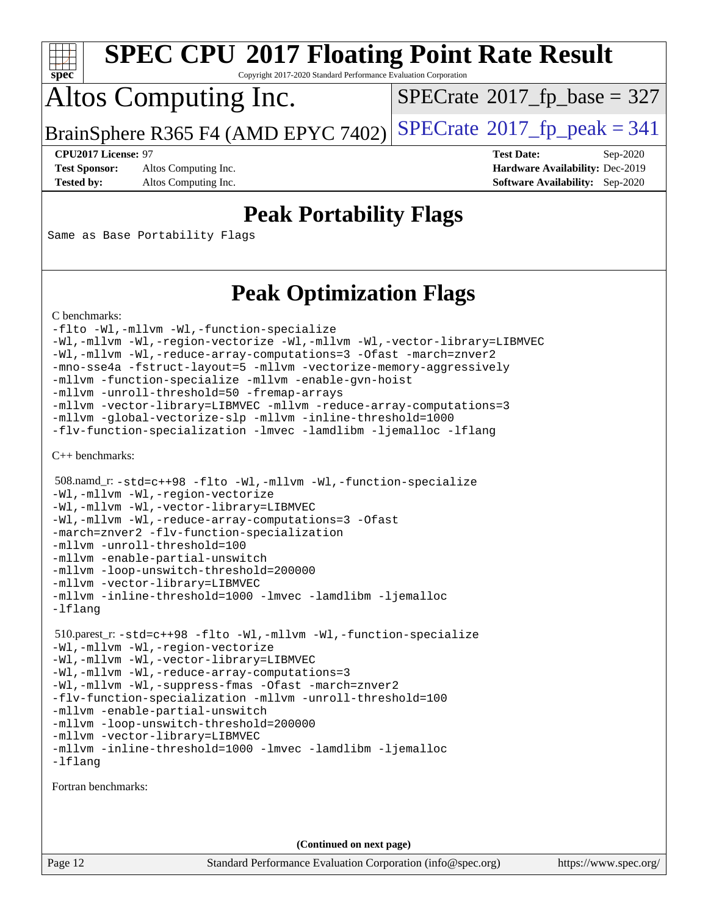

Copyright 2017-2020 Standard Performance Evaluation Corporation

## Altos Computing Inc.

 $SPECTate$ <sup>®</sup>[2017\\_fp\\_base =](http://www.spec.org/auto/cpu2017/Docs/result-fields.html#SPECrate2017fpbase) 327

BrainSphere R365 F4 (AMD EPYC 7402) [SPECrate](http://www.spec.org/auto/cpu2017/Docs/result-fields.html#SPECrate2017fppeak)®[2017\\_fp\\_peak = 3](http://www.spec.org/auto/cpu2017/Docs/result-fields.html#SPECrate2017fppeak)41

**[Test Sponsor:](http://www.spec.org/auto/cpu2017/Docs/result-fields.html#TestSponsor)** Altos Computing Inc. **[Hardware Availability:](http://www.spec.org/auto/cpu2017/Docs/result-fields.html#HardwareAvailability)** Dec-2019

**[CPU2017 License:](http://www.spec.org/auto/cpu2017/Docs/result-fields.html#CPU2017License)** 97 **[Test Date:](http://www.spec.org/auto/cpu2017/Docs/result-fields.html#TestDate)** Sep-2020 **[Tested by:](http://www.spec.org/auto/cpu2017/Docs/result-fields.html#Testedby)** Altos Computing Inc. **[Software Availability:](http://www.spec.org/auto/cpu2017/Docs/result-fields.html#SoftwareAvailability)** Sep-2020

### **[Peak Portability Flags](http://www.spec.org/auto/cpu2017/Docs/result-fields.html#PeakPortabilityFlags)**

Same as Base Portability Flags

### **[Peak Optimization Flags](http://www.spec.org/auto/cpu2017/Docs/result-fields.html#PeakOptimizationFlags)**

[C benchmarks](http://www.spec.org/auto/cpu2017/Docs/result-fields.html#Cbenchmarks):

```
-flto -Wl,-mllvm -Wl,-function-specialize
-Wl,-mllvm -Wl,-region-vectorize -Wl,-mllvm -Wl,-vector-library=LIBMVEC
-Wl,-mllvm -Wl,-reduce-array-computations=3 -Ofast -march=znver2
-mno-sse4a -fstruct-layout=5 -mllvm -vectorize-memory-aggressively
-mllvm -function-specialize -mllvm -enable-gvn-hoist
-mllvm -unroll-threshold=50 -fremap-arrays
-mllvm -vector-library=LIBMVEC -mllvm -reduce-array-computations=3
-mllvm -global-vectorize-slp -mllvm -inline-threshold=1000
-flv-function-specialization -lmvec -lamdlibm -ljemalloc -lflang
```
[C++ benchmarks:](http://www.spec.org/auto/cpu2017/Docs/result-fields.html#CXXbenchmarks)

```
 508.namd_r: -std=c++98 -flto -Wl,-mllvm -Wl,-function-specialize
-Wl,-mllvm -Wl,-region-vectorize
-Wl,-mllvm -Wl,-vector-library=LIBMVEC
-Wl,-mllvm -Wl,-reduce-array-computations=3 -Ofast
-march=znver2 -flv-function-specialization
-mllvm -unroll-threshold=100
-mllvm -enable-partial-unswitch
-mllvm -loop-unswitch-threshold=200000
-mllvm -vector-library=LIBMVEC
-mllvm -inline-threshold=1000 -lmvec -lamdlibm -ljemalloc
-lflang
 510.parest_r: -std=c++98 -flto -Wl,-mllvm -Wl,-function-specialize
-Wl,-mllvm -Wl,-region-vectorize
-Wl,-mllvm -Wl,-vector-library=LIBMVEC
-Wl,-mllvm -Wl,-reduce-array-computations=3
-Wl,-mllvm -Wl,-suppress-fmas -Ofast -march=znver2
-flv-function-specialization -mllvm -unroll-threshold=100
-mllvm -enable-partial-unswitch
-mllvm -loop-unswitch-threshold=200000
-mllvm -vector-library=LIBMVEC
-mllvm -inline-threshold=1000 -lmvec -lamdlibm -ljemalloc
-lflang
```
[Fortran benchmarks](http://www.spec.org/auto/cpu2017/Docs/result-fields.html#Fortranbenchmarks):

**(Continued on next page)**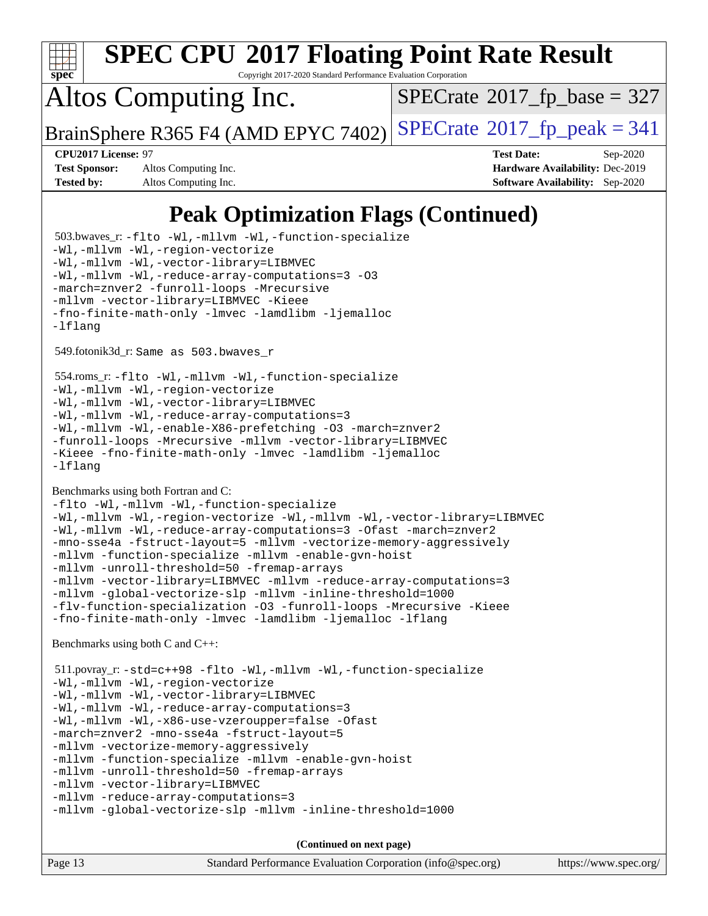

Copyright 2017-2020 Standard Performance Evaluation Corporation

## Altos Computing Inc.

 $SPECTate$ <sup>®</sup>[2017\\_fp\\_base =](http://www.spec.org/auto/cpu2017/Docs/result-fields.html#SPECrate2017fpbase) 327

BrainSphere R365 F4 (AMD EPYC 7402) [SPECrate](http://www.spec.org/auto/cpu2017/Docs/result-fields.html#SPECrate2017fppeak)®[2017\\_fp\\_peak = 3](http://www.spec.org/auto/cpu2017/Docs/result-fields.html#SPECrate2017fppeak)41

**[Test Sponsor:](http://www.spec.org/auto/cpu2017/Docs/result-fields.html#TestSponsor)** Altos Computing Inc. **[Hardware Availability:](http://www.spec.org/auto/cpu2017/Docs/result-fields.html#HardwareAvailability)** Dec-2019 **[Tested by:](http://www.spec.org/auto/cpu2017/Docs/result-fields.html#Testedby)** Altos Computing Inc. **[Software Availability:](http://www.spec.org/auto/cpu2017/Docs/result-fields.html#SoftwareAvailability)** Sep-2020

**[CPU2017 License:](http://www.spec.org/auto/cpu2017/Docs/result-fields.html#CPU2017License)** 97 **[Test Date:](http://www.spec.org/auto/cpu2017/Docs/result-fields.html#TestDate)** Sep-2020

### **[Peak Optimization Flags \(Continued\)](http://www.spec.org/auto/cpu2017/Docs/result-fields.html#PeakOptimizationFlags)**

Page 13 Standard Performance Evaluation Corporation [\(info@spec.org\)](mailto:info@spec.org) <https://www.spec.org/> 503.bwaves\_r: [-flto](http://www.spec.org/cpu2017/results/res2020q4/cpu2017-20201012-24191.flags.html#user_peakFOPTIMIZELDFLAGS503_bwaves_r_aocc-flto) [-Wl,-mllvm -Wl,-function-specialize](http://www.spec.org/cpu2017/results/res2020q4/cpu2017-20201012-24191.flags.html#user_peakLDFLAGS503_bwaves_r_F-function-specialize_7e7e661e57922243ee67c9a1251cb8910e607325179a0ce7f2884e09a6f5d4a5ef0ae4f37e8a2a11c95fc48e931f06dc2b6016f14b511fcb441e048bef1b065a) [-Wl,-mllvm -Wl,-region-vectorize](http://www.spec.org/cpu2017/results/res2020q4/cpu2017-20201012-24191.flags.html#user_peakLDFLAGS503_bwaves_r_F-region-vectorize_fb6c6b5aa293c88efc6c7c2b52b20755e943585b1fe8658c35afef78727fff56e1a56891413c30e36b8e2a6f9a71126986319243e80eb6110b78b288f533c52b) [-Wl,-mllvm -Wl,-vector-library=LIBMVEC](http://www.spec.org/cpu2017/results/res2020q4/cpu2017-20201012-24191.flags.html#user_peakLDFLAGS503_bwaves_r_F-use-vector-library_0a14b27fae317f283640384a31f7bfcc2bd4c1d0b5cfc618a3a430800c9b20217b00f61303eff223a3251b4f06ffbc9739dc5296db9d1fbb9ad24a3939d86d66) [-Wl,-mllvm -Wl,-reduce-array-computations=3](http://www.spec.org/cpu2017/results/res2020q4/cpu2017-20201012-24191.flags.html#user_peakLDFLAGS503_bwaves_r_F-reduce-array-computations_b882aefe7a5dda4e33149f6299762b9a720dace3e498e13756f4c04e5a19edf5315c1f3993de2e61ec41e8c206231f84e05da7040e1bb5d69ba27d10a12507e4) [-O3](http://www.spec.org/cpu2017/results/res2020q4/cpu2017-20201012-24191.flags.html#user_peakFOPTIMIZE503_bwaves_r_F-O3) [-march=znver2](http://www.spec.org/cpu2017/results/res2020q4/cpu2017-20201012-24191.flags.html#user_peakFOPTIMIZE503_bwaves_r_aocc-march_3e2e19cff2eeef60c5d90b059483627c9ea47eca6d66670dbd53f9185f6439e27eb5e104cf773e9e8ab18c8842ce63e461a3e948d0214bd567ef3ade411bf467) [-funroll-loops](http://www.spec.org/cpu2017/results/res2020q4/cpu2017-20201012-24191.flags.html#user_peakFOPTIMIZE503_bwaves_r_aocc-unroll-loops) [-Mrecursive](http://www.spec.org/cpu2017/results/res2020q4/cpu2017-20201012-24191.flags.html#user_peakFOPTIMIZE503_bwaves_r_F-mrecursive_20a145d63f12d5750a899e17d4450b5b8b40330a9bb4af13688ca650e6fb30857bbbe44fb35cdbb895df6e5b2769de0a0d7659f51ff17acfbef6febafec4023f) [-mllvm -vector-library=LIBMVEC](http://www.spec.org/cpu2017/results/res2020q4/cpu2017-20201012-24191.flags.html#user_peakFOPTIMIZE503_bwaves_r_F-use-vector-library_e584e20b4f7ec96aa109254b65d8e01d864f3d68580371b9d93ed7c338191d4cfce20c3c864632264effc6bbe4c7c38153d02096a342ee92501c4a53204a7871) [-Kieee](http://www.spec.org/cpu2017/results/res2020q4/cpu2017-20201012-24191.flags.html#user_peakEXTRA_FFLAGS503_bwaves_r_F-kieee) [-fno-finite-math-only](http://www.spec.org/cpu2017/results/res2020q4/cpu2017-20201012-24191.flags.html#user_peakEXTRA_FFLAGS503_bwaves_r_aocc-fno-finite-math-only) [-lmvec](http://www.spec.org/cpu2017/results/res2020q4/cpu2017-20201012-24191.flags.html#user_peakEXTRA_FLIBSEXTRA_LIBS503_bwaves_r_F-lmvec) [-lamdlibm](http://www.spec.org/cpu2017/results/res2020q4/cpu2017-20201012-24191.flags.html#user_peakEXTRA_FLIBSEXTRA_LIBS503_bwaves_r_F-lamdlibm) [-ljemalloc](http://www.spec.org/cpu2017/results/res2020q4/cpu2017-20201012-24191.flags.html#user_peakEXTRA_LIBS503_bwaves_r_jemalloc-lib) [-lflang](http://www.spec.org/cpu2017/results/res2020q4/cpu2017-20201012-24191.flags.html#user_peakEXTRA_LIBS503_bwaves_r_F-lflang) 549.fotonik3d\_r: Same as 503.bwaves\_r 554.roms\_r: [-flto](http://www.spec.org/cpu2017/results/res2020q4/cpu2017-20201012-24191.flags.html#user_peakFOPTIMIZELDFLAGS554_roms_r_aocc-flto) [-Wl,-mllvm -Wl,-function-specialize](http://www.spec.org/cpu2017/results/res2020q4/cpu2017-20201012-24191.flags.html#user_peakLDFLAGS554_roms_r_F-function-specialize_7e7e661e57922243ee67c9a1251cb8910e607325179a0ce7f2884e09a6f5d4a5ef0ae4f37e8a2a11c95fc48e931f06dc2b6016f14b511fcb441e048bef1b065a) [-Wl,-mllvm -Wl,-region-vectorize](http://www.spec.org/cpu2017/results/res2020q4/cpu2017-20201012-24191.flags.html#user_peakLDFLAGS554_roms_r_F-region-vectorize_fb6c6b5aa293c88efc6c7c2b52b20755e943585b1fe8658c35afef78727fff56e1a56891413c30e36b8e2a6f9a71126986319243e80eb6110b78b288f533c52b) [-Wl,-mllvm -Wl,-vector-library=LIBMVEC](http://www.spec.org/cpu2017/results/res2020q4/cpu2017-20201012-24191.flags.html#user_peakLDFLAGS554_roms_r_F-use-vector-library_0a14b27fae317f283640384a31f7bfcc2bd4c1d0b5cfc618a3a430800c9b20217b00f61303eff223a3251b4f06ffbc9739dc5296db9d1fbb9ad24a3939d86d66) [-Wl,-mllvm -Wl,-reduce-array-computations=3](http://www.spec.org/cpu2017/results/res2020q4/cpu2017-20201012-24191.flags.html#user_peakLDFLAGS554_roms_r_F-reduce-array-computations_b882aefe7a5dda4e33149f6299762b9a720dace3e498e13756f4c04e5a19edf5315c1f3993de2e61ec41e8c206231f84e05da7040e1bb5d69ba27d10a12507e4) [-Wl,-mllvm -Wl,-enable-X86-prefetching](http://www.spec.org/cpu2017/results/res2020q4/cpu2017-20201012-24191.flags.html#user_peakLDFFLAGS554_roms_r_F-enable-X86-prefetching_362de7b2f7f327d498ff3502bcaa6d8937de40fbbc59a600e539433e6b2cb9ea5e30d4a00c3465ce74a160670b5fcaffd57d10fdc90b0d7ee2c6f387a6bf1aee) [-O3](http://www.spec.org/cpu2017/results/res2020q4/cpu2017-20201012-24191.flags.html#user_peakFOPTIMIZE554_roms_r_F-O3) [-march=znver2](http://www.spec.org/cpu2017/results/res2020q4/cpu2017-20201012-24191.flags.html#user_peakFOPTIMIZE554_roms_r_aocc-march_3e2e19cff2eeef60c5d90b059483627c9ea47eca6d66670dbd53f9185f6439e27eb5e104cf773e9e8ab18c8842ce63e461a3e948d0214bd567ef3ade411bf467) [-funroll-loops](http://www.spec.org/cpu2017/results/res2020q4/cpu2017-20201012-24191.flags.html#user_peakFOPTIMIZE554_roms_r_aocc-unroll-loops) [-Mrecursive](http://www.spec.org/cpu2017/results/res2020q4/cpu2017-20201012-24191.flags.html#user_peakFOPTIMIZE554_roms_r_F-mrecursive_20a145d63f12d5750a899e17d4450b5b8b40330a9bb4af13688ca650e6fb30857bbbe44fb35cdbb895df6e5b2769de0a0d7659f51ff17acfbef6febafec4023f) [-mllvm -vector-library=LIBMVEC](http://www.spec.org/cpu2017/results/res2020q4/cpu2017-20201012-24191.flags.html#user_peakFOPTIMIZE554_roms_r_F-use-vector-library_e584e20b4f7ec96aa109254b65d8e01d864f3d68580371b9d93ed7c338191d4cfce20c3c864632264effc6bbe4c7c38153d02096a342ee92501c4a53204a7871) [-Kieee](http://www.spec.org/cpu2017/results/res2020q4/cpu2017-20201012-24191.flags.html#user_peakEXTRA_FFLAGS554_roms_r_F-kieee) [-fno-finite-math-only](http://www.spec.org/cpu2017/results/res2020q4/cpu2017-20201012-24191.flags.html#user_peakEXTRA_FFLAGS554_roms_r_aocc-fno-finite-math-only) [-lmvec](http://www.spec.org/cpu2017/results/res2020q4/cpu2017-20201012-24191.flags.html#user_peakEXTRA_FLIBSEXTRA_LIBS554_roms_r_F-lmvec) [-lamdlibm](http://www.spec.org/cpu2017/results/res2020q4/cpu2017-20201012-24191.flags.html#user_peakEXTRA_FLIBSEXTRA_LIBS554_roms_r_F-lamdlibm) [-ljemalloc](http://www.spec.org/cpu2017/results/res2020q4/cpu2017-20201012-24191.flags.html#user_peakEXTRA_LIBS554_roms_r_jemalloc-lib) [-lflang](http://www.spec.org/cpu2017/results/res2020q4/cpu2017-20201012-24191.flags.html#user_peakEXTRA_LIBS554_roms_r_F-lflang) [Benchmarks using both Fortran and C](http://www.spec.org/auto/cpu2017/Docs/result-fields.html#BenchmarksusingbothFortranandC): [-flto](http://www.spec.org/cpu2017/results/res2020q4/cpu2017-20201012-24191.flags.html#user_CC_FCpeak_aocc-flto) [-Wl,-mllvm -Wl,-function-specialize](http://www.spec.org/cpu2017/results/res2020q4/cpu2017-20201012-24191.flags.html#user_CC_FCpeak_F-function-specialize_7e7e661e57922243ee67c9a1251cb8910e607325179a0ce7f2884e09a6f5d4a5ef0ae4f37e8a2a11c95fc48e931f06dc2b6016f14b511fcb441e048bef1b065a) [-Wl,-mllvm -Wl,-region-vectorize](http://www.spec.org/cpu2017/results/res2020q4/cpu2017-20201012-24191.flags.html#user_CC_FCpeak_F-region-vectorize_fb6c6b5aa293c88efc6c7c2b52b20755e943585b1fe8658c35afef78727fff56e1a56891413c30e36b8e2a6f9a71126986319243e80eb6110b78b288f533c52b) [-Wl,-mllvm -Wl,-vector-library=LIBMVEC](http://www.spec.org/cpu2017/results/res2020q4/cpu2017-20201012-24191.flags.html#user_CC_FCpeak_F-use-vector-library_0a14b27fae317f283640384a31f7bfcc2bd4c1d0b5cfc618a3a430800c9b20217b00f61303eff223a3251b4f06ffbc9739dc5296db9d1fbb9ad24a3939d86d66) [-Wl,-mllvm -Wl,-reduce-array-computations=3](http://www.spec.org/cpu2017/results/res2020q4/cpu2017-20201012-24191.flags.html#user_CC_FCpeak_F-reduce-array-computations_b882aefe7a5dda4e33149f6299762b9a720dace3e498e13756f4c04e5a19edf5315c1f3993de2e61ec41e8c206231f84e05da7040e1bb5d69ba27d10a12507e4) [-Ofast](http://www.spec.org/cpu2017/results/res2020q4/cpu2017-20201012-24191.flags.html#user_CC_FCpeak_aocc-Ofast) [-march=znver2](http://www.spec.org/cpu2017/results/res2020q4/cpu2017-20201012-24191.flags.html#user_CC_FCpeak_aocc-march_3e2e19cff2eeef60c5d90b059483627c9ea47eca6d66670dbd53f9185f6439e27eb5e104cf773e9e8ab18c8842ce63e461a3e948d0214bd567ef3ade411bf467) [-mno-sse4a](http://www.spec.org/cpu2017/results/res2020q4/cpu2017-20201012-24191.flags.html#user_CC_FCpeak_F-mno-sse4a) [-fstruct-layout=5](http://www.spec.org/cpu2017/results/res2020q4/cpu2017-20201012-24191.flags.html#user_CC_FCpeak_F-struct-layout_0de9d3561e9f54a54e0843cce081bd13a08ab3e9a82696f3346606c2e11360c37113781019b02fa128d9f650e68f1ffd209bab5c3a026c1ad23e4e7f60646b23) [-mllvm -vectorize-memory-aggressively](http://www.spec.org/cpu2017/results/res2020q4/cpu2017-20201012-24191.flags.html#user_CC_FCpeak_F-vectorize-memory-aggressively_24b72a4417f50ade9e698c5b3bed87ab456cc6fc8ec6439480cb84f36ad6a3975af6e87206dea402e3871a1464ff3d60bc798e0250f330177ba629a260df1857) [-mllvm -function-specialize](http://www.spec.org/cpu2017/results/res2020q4/cpu2017-20201012-24191.flags.html#user_CC_FCpeak_F-function-specialize_233b3bdba86027f1b094368157e481c5bc59f40286dc25bfadc1858dcd5745c24fd30d5f188710db7fea399bcc9f44a80b3ce3aacc70a8870250c3ae5e1f35b8) [-mllvm -enable-gvn-hoist](http://www.spec.org/cpu2017/results/res2020q4/cpu2017-20201012-24191.flags.html#user_CC_FCpeak_F-enable-gvn-hoist_e5856354646dd6ca1333a0ad99b817e4cf8932b91b82809fd8fd47ceff7b22a89eba5c98fd3e3fa5200368fd772cec3dd56abc3c8f7b655a71b9f9848dddedd5) [-mllvm -unroll-threshold=50](http://www.spec.org/cpu2017/results/res2020q4/cpu2017-20201012-24191.flags.html#user_CC_FCpeak_F-unroll-threshold_458874500b2c105d6d5cb4d7a611c40e2b16e9e3d26b355fea72d644c3673b4de4b3932662f0ed3dbec75c491a13da2d2ca81180bd779dc531083ef1e1e549dc) [-fremap-arrays](http://www.spec.org/cpu2017/results/res2020q4/cpu2017-20201012-24191.flags.html#user_CC_FCpeak_F-fremap-arrays) [-mllvm -vector-library=LIBMVEC](http://www.spec.org/cpu2017/results/res2020q4/cpu2017-20201012-24191.flags.html#user_CC_FCpeak_F-use-vector-library_e584e20b4f7ec96aa109254b65d8e01d864f3d68580371b9d93ed7c338191d4cfce20c3c864632264effc6bbe4c7c38153d02096a342ee92501c4a53204a7871) [-mllvm -reduce-array-computations=3](http://www.spec.org/cpu2017/results/res2020q4/cpu2017-20201012-24191.flags.html#user_CC_FCpeak_F-reduce-array-computations_aceadb8604558b566e0e3a0d7a3c1533923dd1fa0889614e16288028922629a28d5695c24d3b3be4306b1e311c54317dfffe3a2e57fbcaabc737a1798de39145) [-mllvm -global-vectorize-slp](http://www.spec.org/cpu2017/results/res2020q4/cpu2017-20201012-24191.flags.html#user_CC_FCpeak_F-global-vectorize-slp_a3935e8627af4ced727033b1ffd4db27f4d541a363d28d82bf4c2925fb3a0fd4115d6e42d13a2829f9e024d6608eb67a85cb49770f2da5c5ac8dbc737afad603) [-mllvm -inline-threshold=1000](http://www.spec.org/cpu2017/results/res2020q4/cpu2017-20201012-24191.flags.html#user_CC_FCpeak_dragonegg-llvm-inline-threshold_b7832241b0a6397e4ecdbaf0eb7defdc10f885c2a282fa3240fdc99844d543fda39cf8a4a9dccf68cf19b5438ac3b455264f478df15da0f4988afa40d8243bab) [-flv-function-specialization](http://www.spec.org/cpu2017/results/res2020q4/cpu2017-20201012-24191.flags.html#user_CC_FCpeak_F-flv-function-specialization) [-O3](http://www.spec.org/cpu2017/results/res2020q4/cpu2017-20201012-24191.flags.html#user_CC_FCpeak_F-O3) [-funroll-loops](http://www.spec.org/cpu2017/results/res2020q4/cpu2017-20201012-24191.flags.html#user_CC_FCpeak_aocc-unroll-loops) [-Mrecursive](http://www.spec.org/cpu2017/results/res2020q4/cpu2017-20201012-24191.flags.html#user_CC_FCpeak_F-mrecursive_20a145d63f12d5750a899e17d4450b5b8b40330a9bb4af13688ca650e6fb30857bbbe44fb35cdbb895df6e5b2769de0a0d7659f51ff17acfbef6febafec4023f) [-Kieee](http://www.spec.org/cpu2017/results/res2020q4/cpu2017-20201012-24191.flags.html#user_CC_FCpeak_F-kieee) [-fno-finite-math-only](http://www.spec.org/cpu2017/results/res2020q4/cpu2017-20201012-24191.flags.html#user_CC_FCpeak_aocc-fno-finite-math-only) [-lmvec](http://www.spec.org/cpu2017/results/res2020q4/cpu2017-20201012-24191.flags.html#user_CC_FCpeak_F-lmvec) [-lamdlibm](http://www.spec.org/cpu2017/results/res2020q4/cpu2017-20201012-24191.flags.html#user_CC_FCpeak_F-lamdlibm) [-ljemalloc](http://www.spec.org/cpu2017/results/res2020q4/cpu2017-20201012-24191.flags.html#user_CC_FCpeak_jemalloc-lib) [-lflang](http://www.spec.org/cpu2017/results/res2020q4/cpu2017-20201012-24191.flags.html#user_CC_FCpeak_F-lflang) [Benchmarks using both C and C++](http://www.spec.org/auto/cpu2017/Docs/result-fields.html#BenchmarksusingbothCandCXX): 511.povray\_r: [-std=c++98](http://www.spec.org/cpu2017/results/res2020q4/cpu2017-20201012-24191.flags.html#user_peakCXXLD511_povray_r_std-cpp) [-flto](http://www.spec.org/cpu2017/results/res2020q4/cpu2017-20201012-24191.flags.html#user_peakCOPTIMIZECXXOPTIMIZELDFLAGS511_povray_r_aocc-flto) [-Wl,-mllvm -Wl,-function-specialize](http://www.spec.org/cpu2017/results/res2020q4/cpu2017-20201012-24191.flags.html#user_peakLDFLAGS511_povray_r_F-function-specialize_7e7e661e57922243ee67c9a1251cb8910e607325179a0ce7f2884e09a6f5d4a5ef0ae4f37e8a2a11c95fc48e931f06dc2b6016f14b511fcb441e048bef1b065a) [-Wl,-mllvm -Wl,-region-vectorize](http://www.spec.org/cpu2017/results/res2020q4/cpu2017-20201012-24191.flags.html#user_peakLDFLAGS511_povray_r_F-region-vectorize_fb6c6b5aa293c88efc6c7c2b52b20755e943585b1fe8658c35afef78727fff56e1a56891413c30e36b8e2a6f9a71126986319243e80eb6110b78b288f533c52b) [-Wl,-mllvm -Wl,-vector-library=LIBMVEC](http://www.spec.org/cpu2017/results/res2020q4/cpu2017-20201012-24191.flags.html#user_peakLDFLAGS511_povray_r_F-use-vector-library_0a14b27fae317f283640384a31f7bfcc2bd4c1d0b5cfc618a3a430800c9b20217b00f61303eff223a3251b4f06ffbc9739dc5296db9d1fbb9ad24a3939d86d66) [-Wl,-mllvm -Wl,-reduce-array-computations=3](http://www.spec.org/cpu2017/results/res2020q4/cpu2017-20201012-24191.flags.html#user_peakLDFLAGS511_povray_r_F-reduce-array-computations_b882aefe7a5dda4e33149f6299762b9a720dace3e498e13756f4c04e5a19edf5315c1f3993de2e61ec41e8c206231f84e05da7040e1bb5d69ba27d10a12507e4) [-Wl,-mllvm -Wl,-x86-use-vzeroupper=false](http://www.spec.org/cpu2017/results/res2020q4/cpu2017-20201012-24191.flags.html#user_peakLDCXXFLAGS511_povray_r_F-no-vzeroupper_f792211b0552b0142c11cf651c85f88d7eca3e3e6d4ab29ab8b0b7be9c7d83df7aebb846b5dded1424ec84d39acb59d058815f97bc3ae9de4ba00ee4e2945c83) [-Ofast](http://www.spec.org/cpu2017/results/res2020q4/cpu2017-20201012-24191.flags.html#user_peakCOPTIMIZECXXOPTIMIZE511_povray_r_aocc-Ofast) [-march=znver2](http://www.spec.org/cpu2017/results/res2020q4/cpu2017-20201012-24191.flags.html#user_peakCOPTIMIZECXXOPTIMIZE511_povray_r_aocc-march_3e2e19cff2eeef60c5d90b059483627c9ea47eca6d66670dbd53f9185f6439e27eb5e104cf773e9e8ab18c8842ce63e461a3e948d0214bd567ef3ade411bf467) [-mno-sse4a](http://www.spec.org/cpu2017/results/res2020q4/cpu2017-20201012-24191.flags.html#user_peakCOPTIMIZE511_povray_r_F-mno-sse4a) [-fstruct-layout=5](http://www.spec.org/cpu2017/results/res2020q4/cpu2017-20201012-24191.flags.html#user_peakCOPTIMIZE511_povray_r_F-struct-layout_0de9d3561e9f54a54e0843cce081bd13a08ab3e9a82696f3346606c2e11360c37113781019b02fa128d9f650e68f1ffd209bab5c3a026c1ad23e4e7f60646b23) [-mllvm -vectorize-memory-aggressively](http://www.spec.org/cpu2017/results/res2020q4/cpu2017-20201012-24191.flags.html#user_peakCOPTIMIZE511_povray_r_F-vectorize-memory-aggressively_24b72a4417f50ade9e698c5b3bed87ab456cc6fc8ec6439480cb84f36ad6a3975af6e87206dea402e3871a1464ff3d60bc798e0250f330177ba629a260df1857) [-mllvm -function-specialize](http://www.spec.org/cpu2017/results/res2020q4/cpu2017-20201012-24191.flags.html#user_peakCOPTIMIZE511_povray_r_F-function-specialize_233b3bdba86027f1b094368157e481c5bc59f40286dc25bfadc1858dcd5745c24fd30d5f188710db7fea399bcc9f44a80b3ce3aacc70a8870250c3ae5e1f35b8) [-mllvm -enable-gvn-hoist](http://www.spec.org/cpu2017/results/res2020q4/cpu2017-20201012-24191.flags.html#user_peakCOPTIMIZE511_povray_r_F-enable-gvn-hoist_e5856354646dd6ca1333a0ad99b817e4cf8932b91b82809fd8fd47ceff7b22a89eba5c98fd3e3fa5200368fd772cec3dd56abc3c8f7b655a71b9f9848dddedd5) [-mllvm -unroll-threshold=50](http://www.spec.org/cpu2017/results/res2020q4/cpu2017-20201012-24191.flags.html#user_peakCOPTIMIZE511_povray_r_F-unroll-threshold_458874500b2c105d6d5cb4d7a611c40e2b16e9e3d26b355fea72d644c3673b4de4b3932662f0ed3dbec75c491a13da2d2ca81180bd779dc531083ef1e1e549dc) [-fremap-arrays](http://www.spec.org/cpu2017/results/res2020q4/cpu2017-20201012-24191.flags.html#user_peakCOPTIMIZE511_povray_r_F-fremap-arrays) [-mllvm -vector-library=LIBMVEC](http://www.spec.org/cpu2017/results/res2020q4/cpu2017-20201012-24191.flags.html#user_peakCOPTIMIZECXXOPTIMIZE511_povray_r_F-use-vector-library_e584e20b4f7ec96aa109254b65d8e01d864f3d68580371b9d93ed7c338191d4cfce20c3c864632264effc6bbe4c7c38153d02096a342ee92501c4a53204a7871) [-mllvm -reduce-array-computations=3](http://www.spec.org/cpu2017/results/res2020q4/cpu2017-20201012-24191.flags.html#user_peakCOPTIMIZE511_povray_r_F-reduce-array-computations_aceadb8604558b566e0e3a0d7a3c1533923dd1fa0889614e16288028922629a28d5695c24d3b3be4306b1e311c54317dfffe3a2e57fbcaabc737a1798de39145) [-mllvm -global-vectorize-slp](http://www.spec.org/cpu2017/results/res2020q4/cpu2017-20201012-24191.flags.html#user_peakCOPTIMIZE511_povray_r_F-global-vectorize-slp_a3935e8627af4ced727033b1ffd4db27f4d541a363d28d82bf4c2925fb3a0fd4115d6e42d13a2829f9e024d6608eb67a85cb49770f2da5c5ac8dbc737afad603) [-mllvm -inline-threshold=1000](http://www.spec.org/cpu2017/results/res2020q4/cpu2017-20201012-24191.flags.html#user_peakCOPTIMIZECXXOPTIMIZE511_povray_r_dragonegg-llvm-inline-threshold_b7832241b0a6397e4ecdbaf0eb7defdc10f885c2a282fa3240fdc99844d543fda39cf8a4a9dccf68cf19b5438ac3b455264f478df15da0f4988afa40d8243bab) **(Continued on next page)**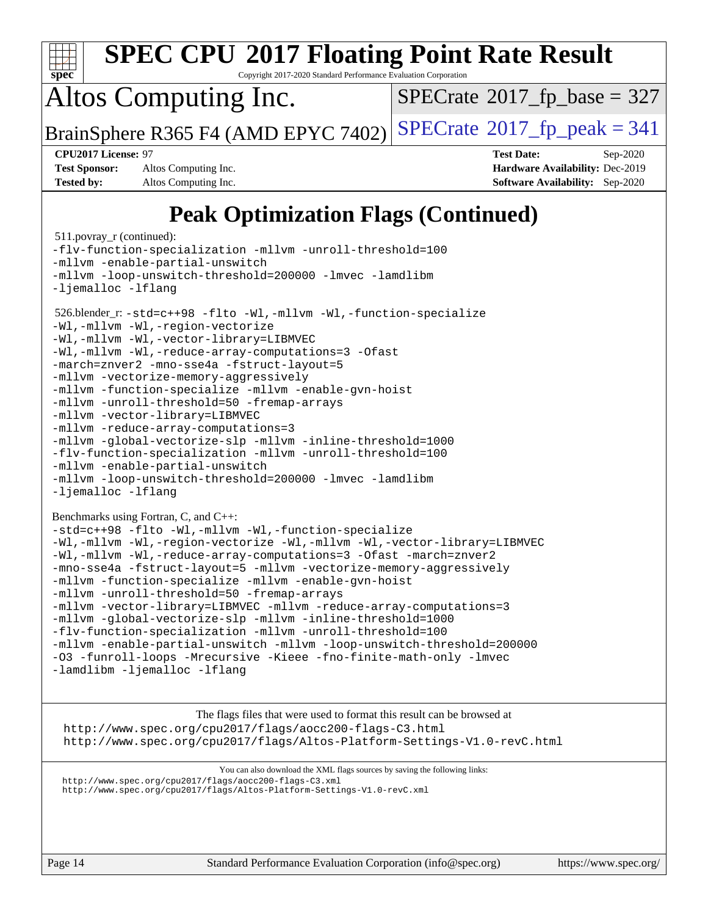

Page 14 Standard Performance Evaluation Corporation [\(info@spec.org\)](mailto:info@spec.org) <https://www.spec.org/>